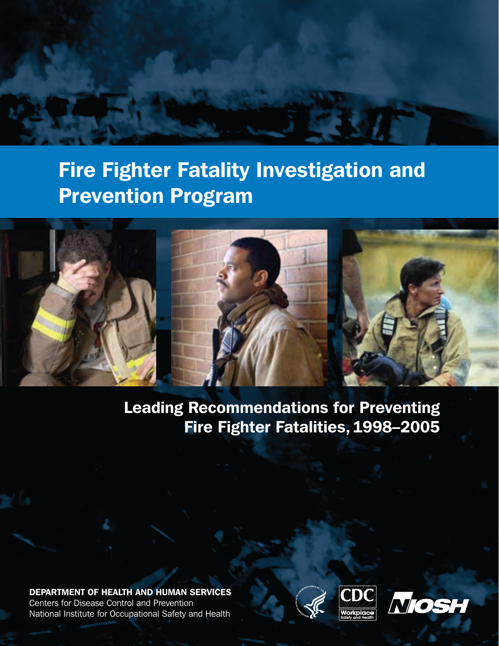## Fire Fighter Fatality Investigation and Prevention Program



Leading Recommendations for Preventing Fire Fighter Fatalities,1998–2005

DEPARTMENT OF HEALTH AND HUMAN SERVICES Centers for Disease Control and Prevention National Institute for Occupational Safety and Health





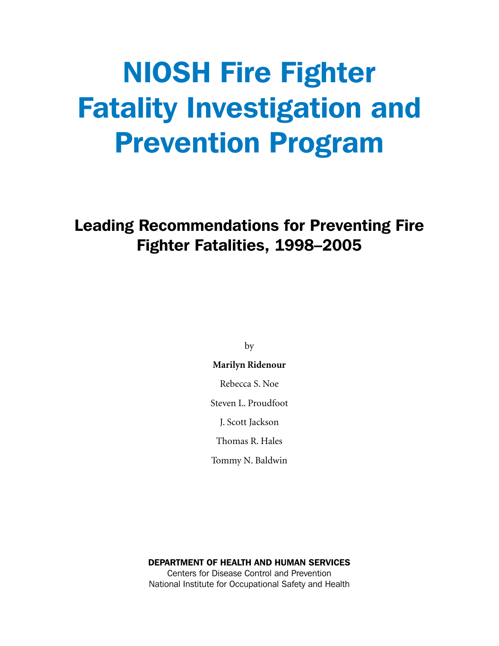# NIOSH Fire Fighter Fatality Investigation and Prevention Program

### Leading Recommendations for Preventing Fire Fighter Fatalities, 1998–2005

by

#### **Marilyn Ridenour**

Rebecca S. Noe

Steven L. Proudfoot

J. Scott Jackson

Thomas R. Hales

Tommy N. Baldwin

DEPARTMENT OF HEALTH AND HUMAN SERVICES Centers for Disease Control and Prevention National Institute for Occupational Safety and Health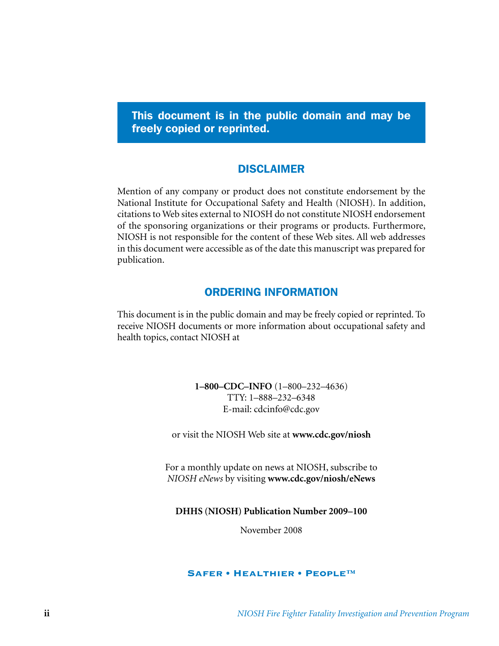This document is in the public domain and may be freely copied or reprinted.

### DISCLAIMER

Mention of any company or product does not constitute endorsement by the National Institute for Occupational Safety and Health (NIOSH). In addition, citations to Web sites external to NIOSH do not constitute NIOSH endorsement of the sponsoring organizations or their programs or products. Furthermore, NIOSH is not responsible for the content of these Web sites. All web addresses in this document were accessible as of the date this manuscript was prepared for publication.

### ORDERING INFORMATION

This document is in the public domain and may be freely copied or reprinted. To receive NIOSH documents or more information about occupational safety and health topics, contact NIOSH at

> **1–800–CDC–INFO** (1–800–232–4636) TTY: 1–888–232–6348 E-mail: cdcinfo@cdc.gov

or visit the NIOSH Web site at **www.cdc.gov/niosh**

For a monthly update on news at NIOSH, subscribe to *NIOSH eNews* by visiting **www.cdc.gov/niosh/eNews**

**DHHS (NIOSH) Publication Number 2009–100**

November 2008

#### Safer • Healthier • People™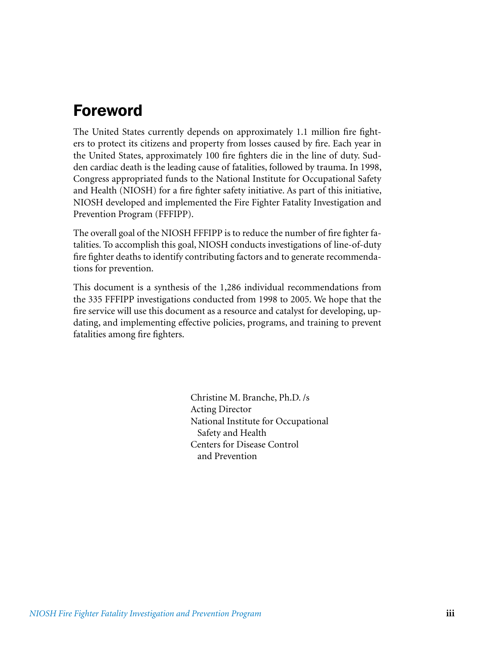### Foreword

The United States currently depends on approximately 1.1 million fire fighters to protect its citizens and property from losses caused by fire. Each year in the United States, approximately 100 fire fighters die in the line of duty. Sudden cardiac death is the leading cause of fatalities, followed by trauma. In 1998, Congress appropriated funds to the National Institute for Occupational Safety and Health (NIOSH) for a fire fighter safety initiative. As part of this initiative, NIOSH developed and implemented the Fire Fighter Fatality Investigation and Prevention Program (FFFIPP).

The overall goal of the NIOSH FFFIPP is to reduce the number of fire fighter fatalities. To accomplish this goal, NIOSH conducts investigations of line-of-duty fire fighter deaths to identify contributing factors and to generate recommendations for prevention.

This document is a synthesis of the 1,286 individual recommendations from the 335 FFFIPP investigations conducted from 1998 to 2005. We hope that the fire service will use this document as a resource and catalyst for developing, updating, and implementing effective policies, programs, and training to prevent fatalities among fire fighters.

> Christine M. Branche, Ph.D. /s Acting Director National Institute for Occupational Safety and Health Centers for Disease Control and Prevention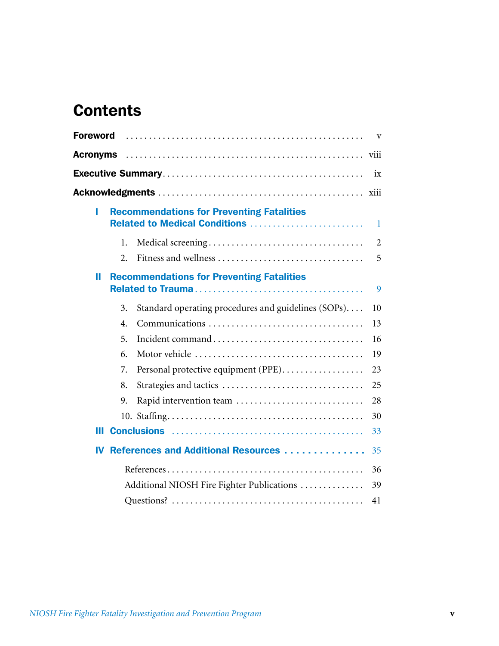### **Contents**

| <b>Foreword</b> |    |                                                                                   | V              |
|-----------------|----|-----------------------------------------------------------------------------------|----------------|
|                 |    |                                                                                   |                |
|                 |    |                                                                                   | ix             |
|                 |    |                                                                                   |                |
| L               |    | <b>Recommendations for Preventing Fatalities</b><br>Related to Medical Conditions | 1.             |
|                 | 1. |                                                                                   | $\overline{2}$ |
|                 | 2. | Fitness and wellness                                                              | 5              |
| П               |    | <b>Recommendations for Preventing Fatalities</b>                                  | 9              |
|                 | 3. | Standard operating procedures and guidelines (SOPs)                               | 10             |
|                 | 4. | Communications                                                                    | 13             |
|                 | 5. |                                                                                   | 16             |
|                 | 6. |                                                                                   | 19             |
|                 | 7. | Personal protective equipment (PPE).                                              | 23             |
|                 | 8. |                                                                                   | 25             |
|                 | 9. | Rapid intervention team                                                           | 28             |
|                 |    |                                                                                   | 30             |
| Ш               |    |                                                                                   | 33             |
| IV              |    | References and Additional Resources                                               | 35             |
|                 |    |                                                                                   | 36             |
|                 |    | Additional NIOSH Fire Fighter Publications                                        | 39             |
|                 |    |                                                                                   | 41             |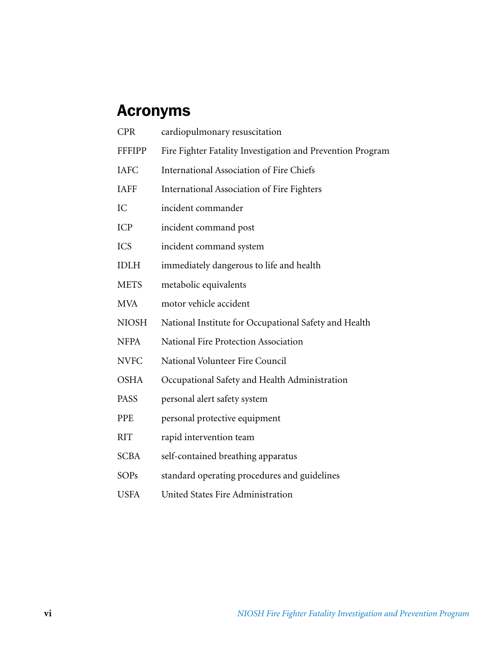### Acronyms

| <b>CPR</b>    | cardiopulmonary resuscitation                              |
|---------------|------------------------------------------------------------|
| <b>FFFIPP</b> | Fire Fighter Fatality Investigation and Prevention Program |
| <b>IAFC</b>   | <b>International Association of Fire Chiefs</b>            |
| <b>IAFF</b>   | <b>International Association of Fire Fighters</b>          |
| IC            | incident commander                                         |
| <b>ICP</b>    | incident command post                                      |
| <b>ICS</b>    | incident command system                                    |
| <b>IDLH</b>   | immediately dangerous to life and health                   |
| <b>METS</b>   | metabolic equivalents                                      |
| <b>MVA</b>    | motor vehicle accident                                     |
| <b>NIOSH</b>  | National Institute for Occupational Safety and Health      |
| <b>NFPA</b>   | National Fire Protection Association                       |
| <b>NVFC</b>   | National Volunteer Fire Council                            |
| <b>OSHA</b>   | Occupational Safety and Health Administration              |
| <b>PASS</b>   | personal alert safety system                               |
| <b>PPE</b>    | personal protective equipment                              |
| <b>RIT</b>    | rapid intervention team                                    |
| <b>SCBA</b>   | self-contained breathing apparatus                         |
| <b>SOPs</b>   | standard operating procedures and guidelines               |
| <b>USFA</b>   | United States Fire Administration                          |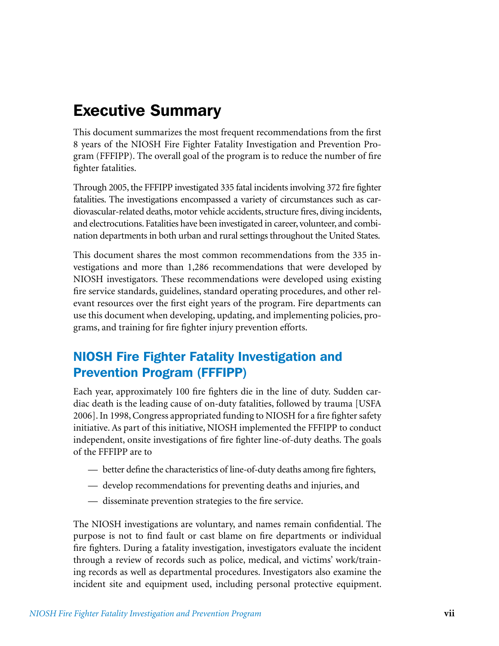### Executive Summary

This document summarizes the most frequent recommendations from the first 8 years of the NIOSH Fire Fighter Fatality Investigation and Prevention Program (FFFIPP). The overall goal of the program is to reduce the number of fire fighter fatalities.

Through 2005, the FFFIPP investigated 335 fatal incidents involving 372 fire fighter fatalities. The investigations encompassed a variety of circumstances such as cardiovascular-related deaths, motor vehicle accidents, structure fires, diving incidents, and electrocutions. Fatalities have been investigated in career, volunteer, and combination departments in both urban and rural settings throughout the United States.

This document shares the most common recommendations from the 335 investigations and more than 1,286 recommendations that were developed by NIOSH investigators. These recommendations were developed using existing fire service standards, guidelines, standard operating procedures, and other relevant resources over the first eight years of the program. Fire departments can use this document when developing, updating, and implementing policies, programs, and training for fire fighter injury prevention efforts.

### NIOSH Fire Fighter Fatality Investigation and Prevention Program (FFFIPP)

Each year, approximately 100 fire fighters die in the line of duty. Sudden cardiac death is the leading cause of on-duty fatalities, followed by trauma [USFA 2006]. In 1998, Congress appropriated funding to NIOSH for a fire fighter safety initiative. As part of this initiative, NIOSH implemented the FFFIPP to conduct independent, onsite investigations of fire fighter line-of-duty deaths. The goals of the FFFIPP are to

- better define the characteristics of line-of-duty deaths among fire fighters,
- develop recommendations for preventing deaths and injuries, and
- disseminate prevention strategies to the fire service.

The NIOSH investigations are voluntary, and names remain confidential. The purpose is not to find fault or cast blame on fire departments or individual fire fighters. During a fatality investigation, investigators evaluate the incident through a review of records such as police, medical, and victims' work/training records as well as departmental procedures. Investigators also examine the incident site and equipment used, including personal protective equipment.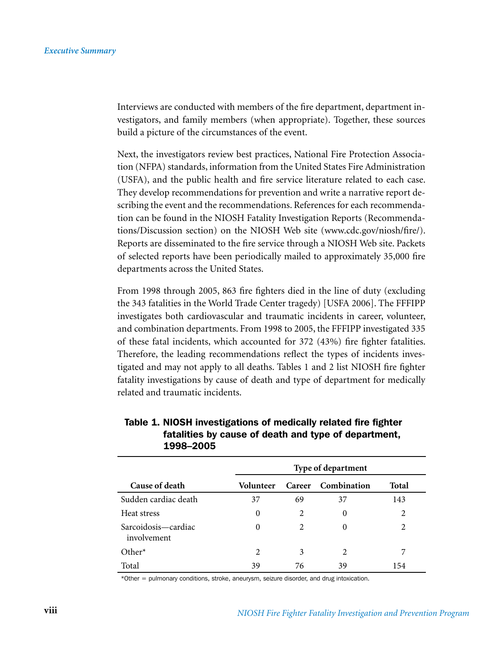Interviews are conducted with members of the fire department, department investigators, and family members (when appropriate). Together, these sources build a picture of the circumstances of the event.

Next, the investigators review best practices, National Fire Protection Association (NFPA) standards, information from the United States Fire Administration (USFA), and the public health and fire service literature related to each case. They develop recommendations for prevention and write a narrative report describing the event and the recommendations. References for each recommendation can be found in the NIOSH Fatality Investigation Reports (Recommendations/Discussion section) on the NIOSH Web site (www.cdc.gov/niosh/fire/). Reports are disseminated to the fire service through a NIOSH Web site. Packets of selected reports have been periodically mailed to approximately 35,000 fire departments across the United States.

From 1998 through 2005, 863 fire fighters died in the line of duty (excluding the 343 fatalities in the World Trade Center tragedy) [USFA 2006]. The FFFIPP investigates both cardiovascular and traumatic incidents in career, volunteer, and combination departments. From 1998 to 2005, the FFFIPP investigated 335 of these fatal incidents, which accounted for 372 (43%) fire fighter fatalities. Therefore, the leading recommendations reflect the types of incidents investigated and may not apply to all deaths. Tables 1 and 2 list NIOSH fire fighter fatality investigations by cause of death and type of department for medically related and traumatic incidents.

|                                    | Type of department |                |                    |                |
|------------------------------------|--------------------|----------------|--------------------|----------------|
| Cause of death                     | Volunteer          |                | Career Combination | <b>Total</b>   |
| Sudden cardiac death               | 37                 | 69             | 37                 | 143            |
| Heat stress                        | $\Omega$           | $\overline{2}$ | 0                  | $\overline{c}$ |
| Sarcoidosis—cardiac<br>involvement | $\Omega$           | 2              | 0                  | $\overline{c}$ |
| Other $*$                          | 2                  | 3              | 2                  | 7              |
| Total                              | 39                 | 76             | 39                 | 154            |

#### Table 1. NIOSH investigations of medically related fire fighter fatalities by cause of death and type of department, 1998–2005

\*Other = pulmonary conditions, stroke, aneurysm, seizure disorder, and drug intoxication.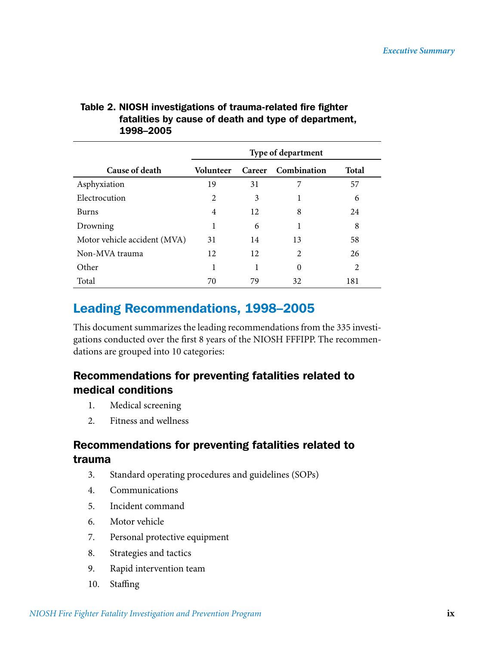|                              | Type of department |               |             |       |
|------------------------------|--------------------|---------------|-------------|-------|
| Cause of death               | <b>Volunteer</b>   | <b>Career</b> | Combination | Total |
| Asphyxiation                 | 19                 | 31            |             | 57    |
| Electrocution                | $\overline{2}$     | 3             |             | 6     |
| <b>Burns</b>                 | 4                  | 12            | 8           | 24    |
| Drowning                     | 1                  | 6             |             | 8     |
| Motor vehicle accident (MVA) | 31                 | 14            | 13          | 58    |
| Non-MVA trauma               | 12                 | 12            | 2           | 26    |
| Other                        | 1                  | 1             | $\theta$    | 2     |
| Total                        | 70                 | 79            | 32          | 181   |

### Table 2. NIOSH investigations of trauma-related fire fighter fatalities by cause of death and type of department, 1998–2005

### Leading Recommendations, 1998–2005

This document summarizes the leading recommendations from the 335 investigations conducted over the first 8 years of the NIOSH FFFIPP. The recommendations are grouped into 10 categories:

### Recommendations for preventing fatalities related to medical conditions

- 1. Medical screening
- 2. Fitness and wellness

### Recommendations for preventing fatalities related to trauma

- 3. Standard operating procedures and guidelines (SOPs)
- 4. Communications
- 5. Incident command
- 6. Motor vehicle
- 7. Personal protective equipment
- 8. Strategies and tactics
- 9. Rapid intervention team
- 10. Staffing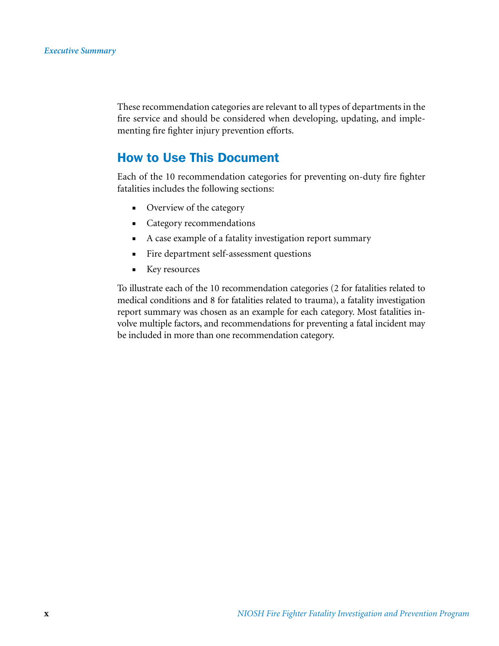These recommendation categories are relevant to all types of departments in the fire service and should be considered when developing, updating, and implementing fire fighter injury prevention efforts.

### How to Use This Document

Each of the 10 recommendation categories for preventing on-duty fire fighter fatalities includes the following sections:

- Overview of the category
- Category recommendations
- A case example of a fatality investigation report summary
- Fire department self-assessment questions
- Key resources

To illustrate each of the 10 recommendation categories (2 for fatalities related to medical conditions and 8 for fatalities related to trauma), a fatality investigation report summary was chosen as an example for each category. Most fatalities involve multiple factors, and recommendations for preventing a fatal incident may be included in more than one recommendation category.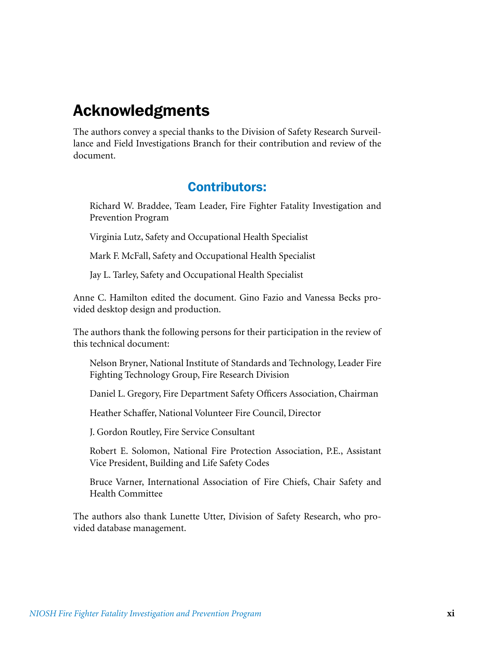### Acknowledgments

The authors convey a special thanks to the Division of Safety Research Surveillance and Field Investigations Branch for their contribution and review of the document.

### Contributors:

Richard W. Braddee, Team Leader, Fire Fighter Fatality Investigation and Prevention Program

Virginia Lutz, Safety and Occupational Health Specialist

Mark F. McFall, Safety and Occupational Health Specialist

Jay L. Tarley, Safety and Occupational Health Specialist

Anne C. Hamilton edited the document. Gino Fazio and Vanessa Becks provided desktop design and production.

The authors thank the following persons for their participation in the review of this technical document:

Nelson Bryner, National Institute of Standards and Technology, Leader Fire Fighting Technology Group, Fire Research Division

Daniel L. Gregory, Fire Department Safety Officers Association, Chairman

Heather Schaffer, National Volunteer Fire Council, Director

J. Gordon Routley, Fire Service Consultant

Robert E. Solomon, National Fire Protection Association, P.E., Assistant Vice President, Building and Life Safety Codes

Bruce Varner, International Association of Fire Chiefs, Chair Safety and Health Committee

The authors also thank Lunette Utter, Division of Safety Research, who provided database management.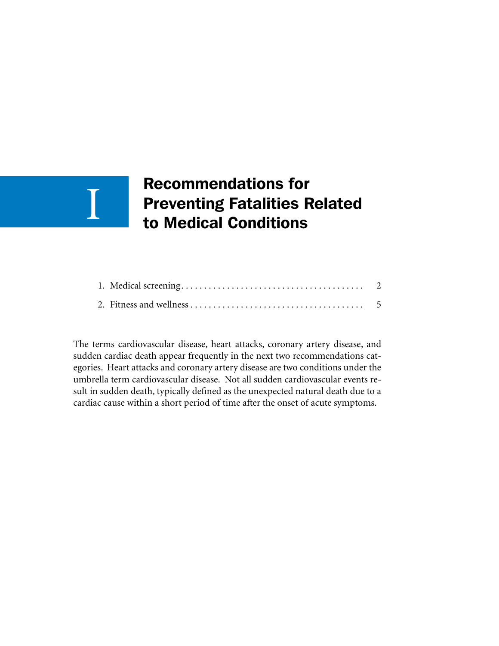### Recommendations for Preventing Fatalities Related to Medical Conditions

I

The terms cardiovascular disease, heart attacks, coronary artery disease, and sudden cardiac death appear frequently in the next two recommendations categories. Heart attacks and coronary artery disease are two conditions under the umbrella term cardiovascular disease. Not all sudden cardiovascular events result in sudden death, typically defined as the unexpected natural death due to a cardiac cause within a short period of time after the onset of acute symptoms.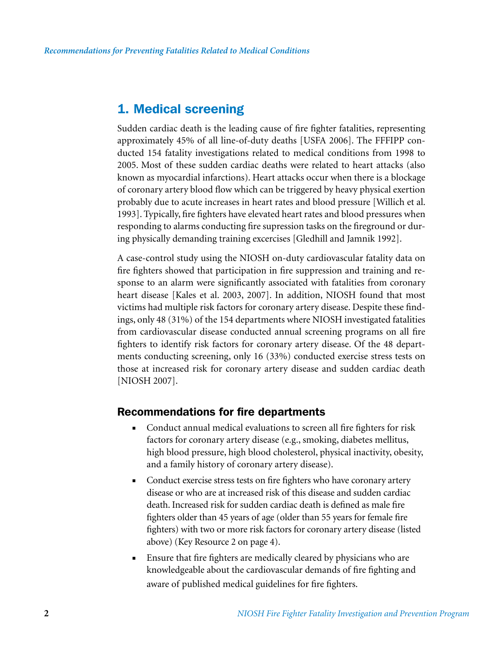### 1. Medical screening

Sudden cardiac death is the leading cause of fire fighter fatalities, representing approximately 45% of all line-of-duty deaths [USFA 2006]. The FFFIPP conducted 154 fatality investigations related to medical conditions from 1998 to 2005. Most of these sudden cardiac deaths were related to heart attacks (also known as myocardial infarctions). Heart attacks occur when there is a blockage of coronary artery blood flow which can be triggered by heavy physical exertion probably due to acute increases in heart rates and blood pressure [Willich et al. 1993]. Typically, fire fighters have elevated heart rates and blood pressures when responding to alarms conducting fire supression tasks on the fireground or during physically demanding training excercises [Gledhill and Jamnik 1992].

A case-control study using the NIOSH on-duty cardiovascular fatality data on fire fighters showed that participation in fire suppression and training and response to an alarm were significantly associated with fatalities from coronary heart disease [Kales et al. 2003, 2007]. In addition, NIOSH found that most victims had multiple risk factors for coronary artery disease. Despite these findings, only 48 (31%) of the 154 departments where NIOSH investigated fatalities from cardiovascular disease conducted annual screening programs on all fire fighters to identify risk factors for coronary artery disease. Of the 48 departments conducting screening, only 16 (33%) conducted exercise stress tests on those at increased risk for coronary artery disease and sudden cardiac death [NIOSH 2007].

### Recommendations for fire departments

- Conduct annual medical evaluations to screen all fire fighters for risk factors for coronary artery disease (e.g., smoking, diabetes mellitus, high blood pressure, high blood cholesterol, physical inactivity, obesity, and a family history of coronary artery disease).
- Conduct exercise stress tests on fire fighters who have coronary artery disease or who are at increased risk of this disease and sudden cardiac death. Increased risk for sudden cardiac death is defined as male fire fighters older than 45 years of age (older than 55 years for female fire fighters) with two or more risk factors for coronary artery disease (listed above) (Key Resource 2 on page 4).
- Ensure that fire fighters are medically cleared by physicians who are knowledgeable about the cardiovascular demands of fire fighting and aware of published medical guidelines for fire fighters.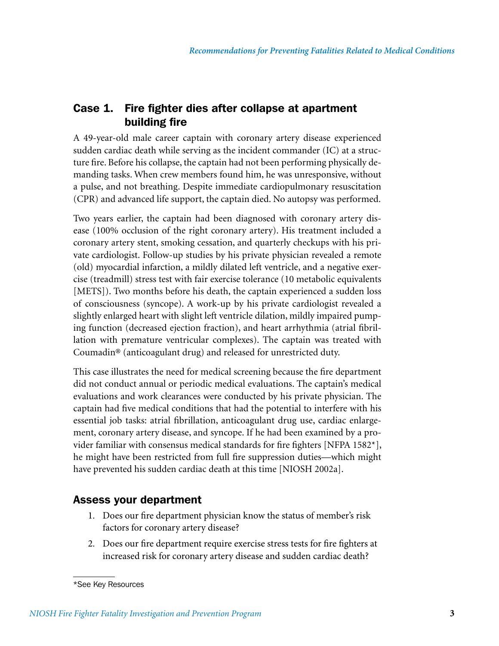### Case 1. Fire fighter dies after collapse at apartment building fire

A 49-year-old male career captain with coronary artery disease experienced sudden cardiac death while serving as the incident commander (IC) at a structure fire. Before his collapse, the captain had not been performing physically demanding tasks. When crew members found him, he was unresponsive, without a pulse, and not breathing. Despite immediate cardiopulmonary resuscitation (CPR) and advanced life support, the captain died. No autopsy was performed.

Two years earlier, the captain had been diagnosed with coronary artery disease (100% occlusion of the right coronary artery). His treatment included a coronary artery stent, smoking cessation, and quarterly checkups with his private cardiologist. Follow-up studies by his private physician revealed a remote (old) myocardial infarction, a mildly dilated left ventricle, and a negative exercise (treadmill) stress test with fair exercise tolerance (10 metabolic equivalents [METS]). Two months before his death, the captain experienced a sudden loss of consciousness (syncope). A work-up by his private cardiologist revealed a slightly enlarged heart with slight left ventricle dilation, mildly impaired pumping function (decreased ejection fraction), and heart arrhythmia (atrial fibrillation with premature ventricular complexes). The captain was treated with Coumadin® (anticoagulant drug) and released for unrestricted duty.

This case illustrates the need for medical screening because the fire department did not conduct annual or periodic medical evaluations. The captain's medical evaluations and work clearances were conducted by his private physician. The captain had five medical conditions that had the potential to interfere with his essential job tasks: atrial fibrillation, anticoagulant drug use, cardiac enlargement, coronary artery disease, and syncope. If he had been examined by a provider familiar with consensus medical standards for fire fighters [NFPA 1582\*], he might have been restricted from full fire suppression duties—which might have prevented his sudden cardiac death at this time [NIOSH 2002a].

### Assess your department

- 1. Does our fire department physician know the status of member's risk factors for coronary artery disease?
- 2. Does our fire department require exercise stress tests for fire fighters at increased risk for coronary artery disease and sudden cardiac death?

<sup>\*</sup>See Key Resources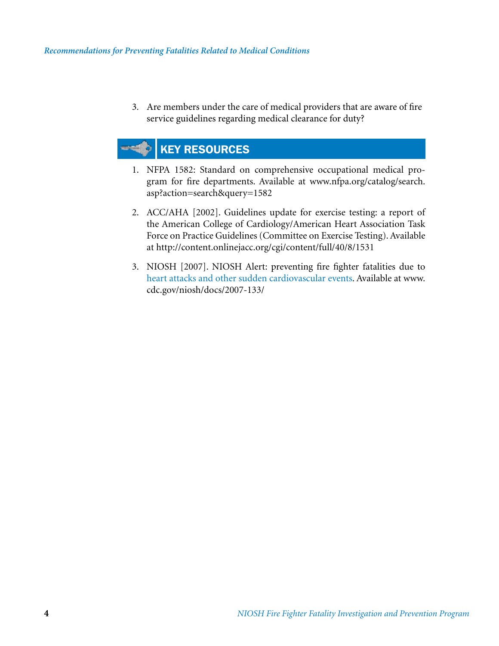3. Are members under the care of medical providers that are aware of fire service guidelines regarding medical clearance for duty?

### KEY RESOURCES

- 1. NFPA 1582: Standard on comprehensive occupational medical program for fire departments. Available at www.nfpa.org/catalog/search. asp?action=search&query=1582
- 2. ACC/AHA [2002]. Guidelines update for exercise testing: a report of the American College of Cardiology/American Heart Association Task Force on Practice Guidelines (Committee on Exercise Testing). Available at http://content.onlinejacc.org/cgi/content/full/40/8/1531
- 3. NIOSH [2007]. NIOSH Alert: preventing fire fighter fatalities due to heart attacks and other sudden cardiovascular events. Available at www. cdc.gov/niosh/docs/2007-133/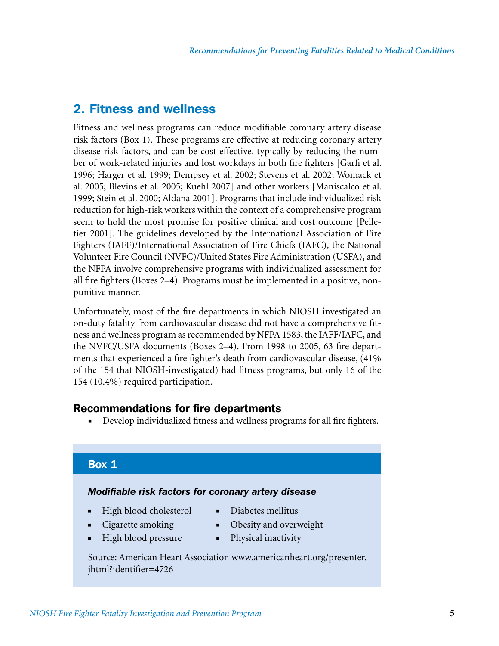### 2. Fitness and wellness

Fitness and wellness programs can reduce modifiable coronary artery disease risk factors (Box 1). These programs are effective at reducing coronary artery disease risk factors, and can be cost effective, typically by reducing the number of work-related injuries and lost workdays in both fire fighters [Garfi et al. 1996; Harger et al. 1999; Dempsey et al. 2002; Stevens et al. 2002; Womack et al. 2005; Blevins et al. 2005; Kuehl 2007] and other workers [Maniscalco et al. 1999; Stein et al. 2000; Aldana 2001]. Programs that include individualized risk reduction for high-risk workers within the context of a comprehensive program seem to hold the most promise for positive clinical and cost outcome [Pelletier 2001]. The guidelines developed by the International Association of Fire Fighters (IAFF)/International Association of Fire Chiefs (IAFC), the National Volunteer Fire Council (NVFC)/United States Fire Administration (USFA), and the NFPA involve comprehensive programs with individualized assessment for all fire fighters (Boxes 2–4). Programs must be implemented in a positive, nonpunitive manner.

Unfortunately, most of the fire departments in which NIOSH investigated an on-duty fatality from cardiovascular disease did not have a comprehensive fitness and wellness program as recommended by NFPA 1583, the IAFF/IAFC, and the NVFC/USFA documents (Boxes 2–4). From 1998 to 2005, 63 fire departments that experienced a fire fighter's death from cardiovascular disease, (41% of the 154 that NIOSH-investigated) had fitness programs, but only 16 of the 154 (10.4%) required participation.

### Recommendations for fire departments

■ Develop individualized fitness and wellness programs for all fire fighters.

### Box 1

#### *Modifiable risk factors for coronary artery disease*

- High blood cholesterol
- Diabetes mellitus
- Cigarette smoking
- 
- -
- High blood pressure
- Obesity and overweight ■ Physical inactivity

Source: American Heart Association www.americanheart.org/presenter. jhtml?identifier=4726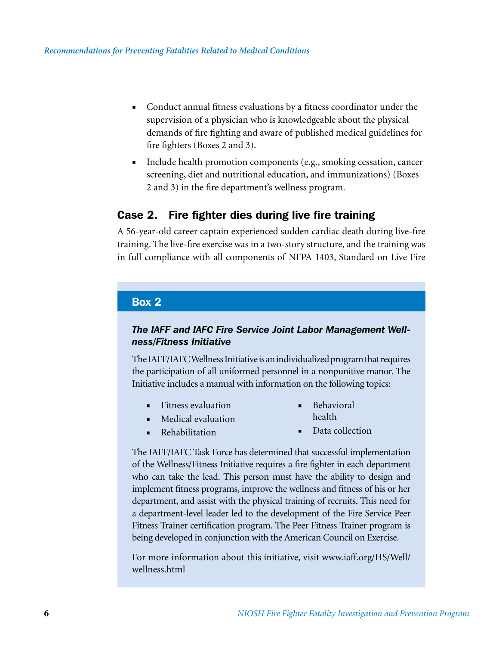- Conduct annual fitness evaluations by a fitness coordinator under the supervision of a physician who is knowledgeable about the physical demands of fire fighting and aware of published medical guidelines for fire fighters (Boxes 2 and 3).
- Include health promotion components (e.g., smoking cessation, cancer screening, diet and nutritional education, and immunizations) (Boxes 2 and 3) in the fire department's wellness program.

### Case 2. Fire fighter dies during live fire training

A 56-year-old career captain experienced sudden cardiac death during live-fire training. The live-fire exercise was in a two-story structure, and the training was in full compliance with all components of NFPA 1403, Standard on Live Fire

#### Box 2

### *The IAFF and IAFC Fire Service Joint Labor Management Wellness/Fitness Initiative*

The IAFF/IAFC Wellness Initiative is an individualized program that requires the participation of all uniformed personnel in a nonpunitive manor. The Initiative includes a manual with information on the following topics:

- Fitness evaluation
- Behavioral health
- Medical evaluation ■ Rehabilitation
- Data collection

The IAFF/IAFC Task Force has determined that successful implementation of the Wellness/Fitness Initiative requires a fire fighter in each department who can take the lead. This person must have the ability to design and implement fitness programs, improve the wellness and fitness of his or her department, and assist with the physical training of recruits. This need for a department-level leader led to the development of the Fire Service Peer Fitness Trainer certification program. The Peer Fitness Trainer program is being developed in conjunction with the American Council on Exercise.

For more information about this initiative, visit www.iaff.org/HS/Well/ wellness.html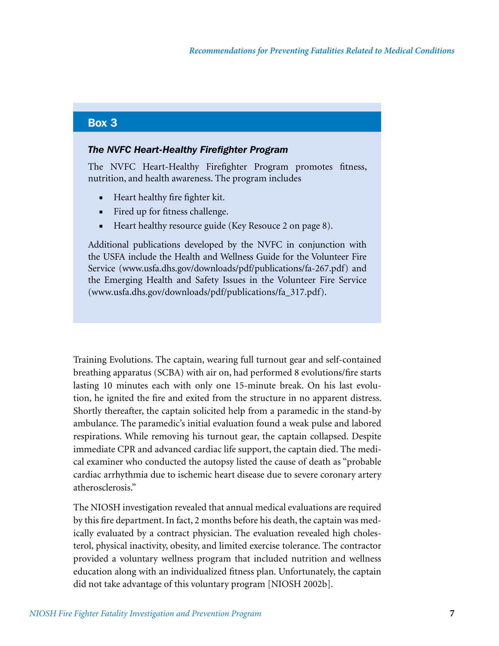### Box 3

#### *The NVFC Heart-Healthy Firefighter Program*

The NVFC Heart-Healthy Firefighter Program promotes fitness, nutrition, and health awareness. The program includes

- Heart healthy fire fighter kit.
- Fired up for fitness challenge.
- Heart healthy resource guide (Key Resouce 2 on page 8).

Additional publications developed by the NVFC in conjunction with the USFA include the Health and Wellness Guide for the Volunteer Fire Service (www.usfa.dhs.gov/downloads/pdf/publications/fa-267.pdf) and the Emerging Health and Safety Issues in the Volunteer Fire Service (www.usfa.dhs.gov/downloads/pdf/publications/fa\_317.pdf).

Training Evolutions. The captain, wearing full turnout gear and self-contained breathing apparatus (SCBA) with air on, had performed 8 evolutions/fire starts lasting 10 minutes each with only one 15-minute break. On his last evolution, he ignited the fire and exited from the structure in no apparent distress. Shortly thereafter, the captain solicited help from a paramedic in the stand-by ambulance. The paramedic's initial evaluation found a weak pulse and labored respirations. While removing his turnout gear, the captain collapsed. Despite immediate CPR and advanced cardiac life support, the captain died. The medical examiner who conducted the autopsy listed the cause of death as "probable cardiac arrhythmia due to ischemic heart disease due to severe coronary artery atherosclerosis."

The NIOSH investigation revealed that annual medical evaluations are required by this fire department. In fact, 2 months before his death, the captain was medically evaluated by a contract physician. The evaluation revealed high cholesterol, physical inactivity, obesity, and limited exercise tolerance. The contractor provided a voluntary wellness program that included nutrition and wellness education along with an individualized fitness plan. Unfortunately, the captain did not take advantage of this voluntary program [NIOSH 2002b].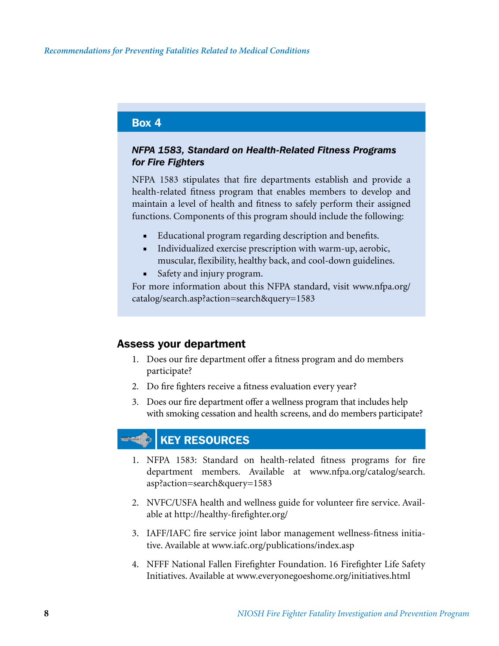### Box 4

### *NFPA 1583, Standard on Health-Related Fitness Programs for Fire Fighters*

NFPA 1583 stipulates that fire departments establish and provide a health-related fitness program that enables members to develop and maintain a level of health and fitness to safely perform their assigned functions. Components of this program should include the following:

- Educational program regarding description and benefits.
- Individualized exercise prescription with warm-up, aerobic, muscular, flexibility, healthy back, and cool-down guidelines.
- Safety and injury program.

For more information about this NFPA standard, visit www.nfpa.org/ catalog/search.asp?action=search&query=1583

### Assess your department

- 1. Does our fire department offer a fitness program and do members participate?
- 2. Do fire fighters receive a fitness evaluation every year?
- 3. Does our fire department offer a wellness program that includes help with smoking cessation and health screens, and do members participate?

### KEY RESOURCES

- 1. NFPA 1583: Standard on health-related fitness programs for fire department members. Available at www.nfpa.org/catalog/search. asp?action=search&query=1583
- 2. NVFC/USFA health and wellness guide for volunteer fire service. Available at http://healthy-firefighter.org/
- 3. IAFF/IAFC fire service joint labor management wellness-fitness initiative. Available at www.iafc.org/publications/index.asp
- 4. NFFF National Fallen Firefighter Foundation. 16 Firefighter Life Safety Initiatives. Available at www.everyonegoeshome.org/initiatives.html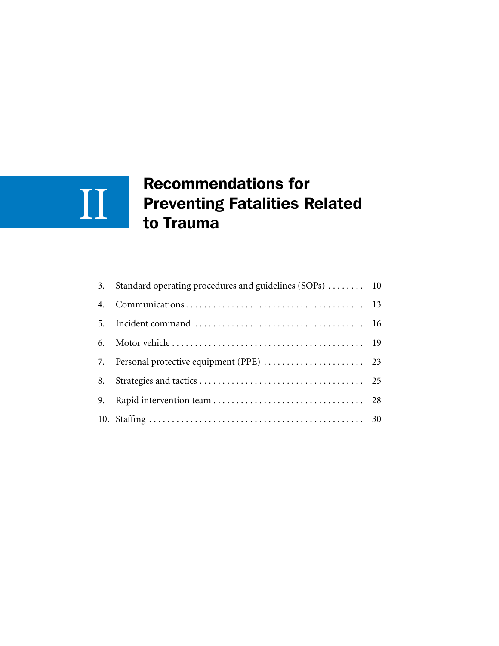### Recommendations for Preventing Fatalities Related to Trauma II

| 3. | Standard operating procedures and guidelines (SOPs)  10 |  |
|----|---------------------------------------------------------|--|
| 4. |                                                         |  |
| 5. |                                                         |  |
| 6. |                                                         |  |
|    |                                                         |  |
| 8. |                                                         |  |
| 9. |                                                         |  |
|    |                                                         |  |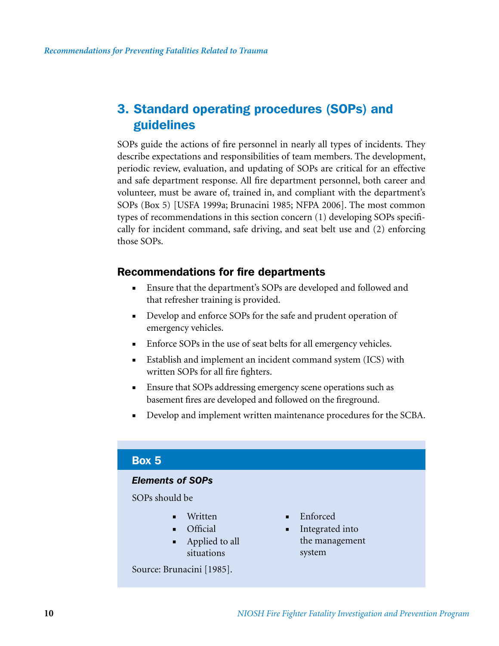### 3. Standard operating procedures (SOPs) and guidelines

SOPs guide the actions of fire personnel in nearly all types of incidents. They describe expectations and responsibilities of team members. The development, periodic review, evaluation, and updating of SOPs are critical for an effective and safe department response. All fire department personnel, both career and volunteer, must be aware of, trained in, and compliant with the department's SOPs (Box 5) [USFA 1999a; Brunacini 1985; NFPA 2006]. The most common types of recommendations in this section concern (1) developing SOPs specifically for incident command, safe driving, and seat belt use and (2) enforcing those SOPs.

### Recommendations for fire departments

- Ensure that the department's SOPs are developed and followed and that refresher training is provided.
- Develop and enforce SOPs for the safe and prudent operation of emergency vehicles.
- Enforce SOPs in the use of seat belts for all emergency vehicles.
- Establish and implement an incident command system (ICS) with written SOPs for all fire fighters.
- Ensure that SOPs addressing emergency scene operations such as basement fires are developed and followed on the fireground.
- Develop and implement written maintenance procedures for the SCBA.

### Box 5

#### *Elements of SOPs*

SOPs should be

- Written
- Official
- Applied to all situations

Source: Brunacini [1985].

- Enforced
- Integrated into the management system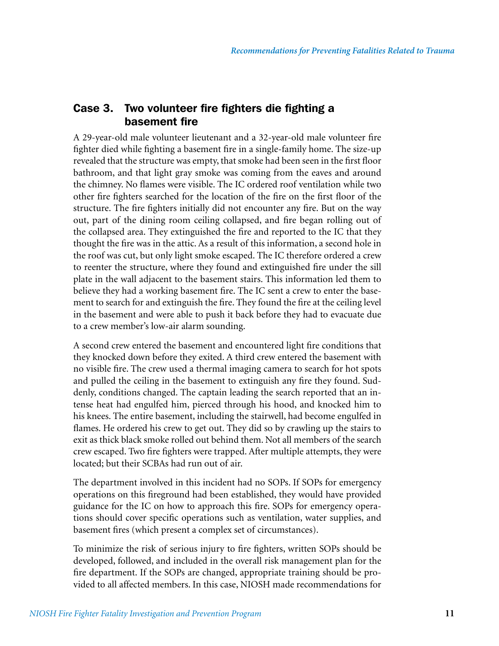### Case 3. Two volunteer fire fighters die fighting a basement fire

A 29-year-old male volunteer lieutenant and a 32-year-old male volunteer fire fighter died while fighting a basement fire in a single-family home. The size-up revealed that the structure was empty, that smoke had been seen in the first floor bathroom, and that light gray smoke was coming from the eaves and around the chimney. No flames were visible. The IC ordered roof ventilation while two other fire fighters searched for the location of the fire on the first floor of the structure. The fire fighters initially did not encounter any fire. But on the way out, part of the dining room ceiling collapsed, and fire began rolling out of the collapsed area. They extinguished the fire and reported to the IC that they thought the fire was in the attic. As a result of this information, a second hole in the roof was cut, but only light smoke escaped. The IC therefore ordered a crew to reenter the structure, where they found and extinguished fire under the sill plate in the wall adjacent to the basement stairs. This information led them to believe they had a working basement fire. The IC sent a crew to enter the basement to search for and extinguish the fire. They found the fire at the ceiling level in the basement and were able to push it back before they had to evacuate due to a crew member's low-air alarm sounding.

A second crew entered the basement and encountered light fire conditions that they knocked down before they exited. A third crew entered the basement with no visible fire. The crew used a thermal imaging camera to search for hot spots and pulled the ceiling in the basement to extinguish any fire they found. Suddenly, conditions changed. The captain leading the search reported that an intense heat had engulfed him, pierced through his hood, and knocked him to his knees. The entire basement, including the stairwell, had become engulfed in flames. He ordered his crew to get out. They did so by crawling up the stairs to exit as thick black smoke rolled out behind them. Not all members of the search crew escaped. Two fire fighters were trapped. After multiple attempts, they were located; but their SCBAs had run out of air.

The department involved in this incident had no SOPs. If SOPs for emergency operations on this fireground had been established, they would have provided guidance for the IC on how to approach this fire. SOPs for emergency operations should cover specific operations such as ventilation, water supplies, and basement fires (which present a complex set of circumstances).

To minimize the risk of serious injury to fire fighters, written SOPs should be developed, followed, and included in the overall risk management plan for the fire department. If the SOPs are changed, appropriate training should be provided to all affected members. In this case, NIOSH made recommendations for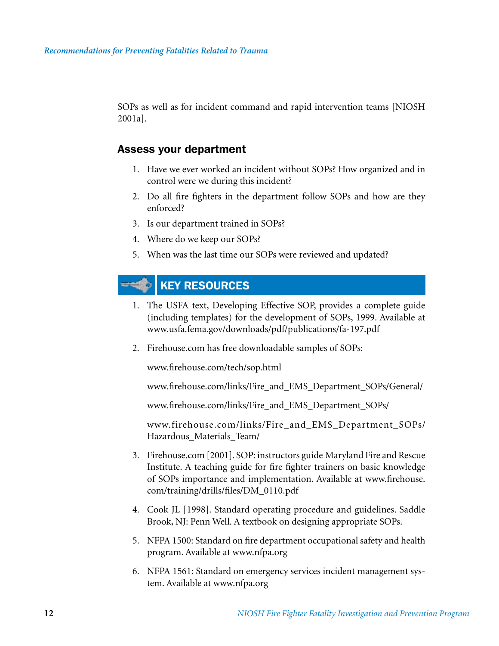SOPs as well as for incident command and rapid intervention teams [NIOSH 2001a].

#### Assess your department

- 1. Have we ever worked an incident without SOPs? How organized and in control were we during this incident?
- 2. Do all fire fighters in the department follow SOPs and how are they enforced?
- 3. Is our department trained in SOPs?
- 4. Where do we keep our SOPs?
- 5. When was the last time our SOPs were reviewed and updated?

#### KEY RESOURCES  $\equiv$

- 1. The USFA text, Developing Effective SOP, provides a complete guide (including templates) for the development of SOPs, 1999. Available at www.usfa.fema.gov/downloads/pdf/publications/fa-197.pdf
- 2. Firehouse.com has free downloadable samples of SOPs:

www.firehouse.com/tech/sop.html

www.firehouse.com/links/Fire\_and\_EMS\_Department\_SOPs/General/

www.firehouse.com/links/Fire\_and\_EMS\_Department\_SOPs/

www.firehouse.com/links/Fire\_and\_EMS\_Department\_SOPs/ Hazardous\_Materials\_Team/

- 3. Firehouse.com [2001]. SOP: instructors guide Maryland Fire and Rescue Institute. A teaching guide for fire fighter trainers on basic knowledge of SOPs importance and implementation. Available at www.firehouse. com/training/drills/files/DM\_0110.pdf
- 4. Cook JL [1998]. Standard operating procedure and guidelines. Saddle Brook, NJ: Penn Well. A textbook on designing appropriate SOPs.
- 5. NFPA 1500: Standard on fire department occupational safety and health program. Available at www.nfpa.org
- 6. NFPA 1561: Standard on emergency services incident management system. Available at www.nfpa.org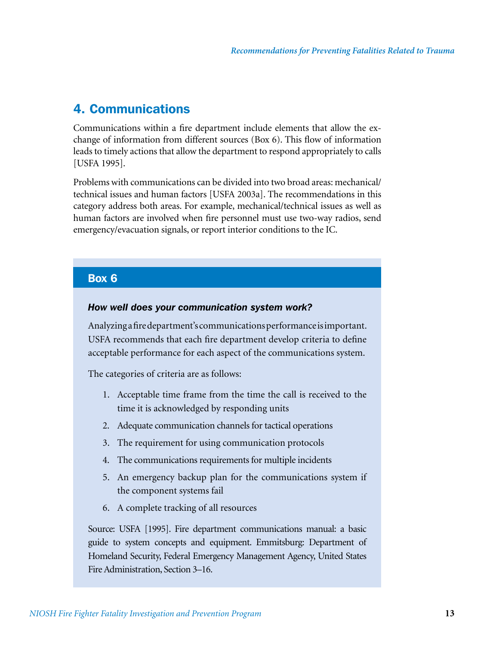### 4. Communications

Communications within a fire department include elements that allow the exchange of information from different sources (Box 6). This flow of information leads to timely actions that allow the department to respond appropriately to calls [USFA 1995].

Problems with communications can be divided into two broad areas: mechanical/ technical issues and human factors [USFA 2003a]. The recommendations in this category address both areas. For example, mechanical/technical issues as well as human factors are involved when fire personnel must use two-way radios, send emergency/evacuation signals, or report interior conditions to the IC.

### Box 6

#### *How well does your communication system work?*

Analyzing a fire department's communications performance is important. USFA recommends that each fire department develop criteria to define acceptable performance for each aspect of the communications system.

The categories of criteria are as follows:

- 1. Acceptable time frame from the time the call is received to the time it is acknowledged by responding units
- 2. Adequate communication channels for tactical operations
- 3. The requirement for using communication protocols
- 4. The communications requirements for multiple incidents
- 5. An emergency backup plan for the communications system if the component systems fail
- 6. A complete tracking of all resources

Source: USFA [1995]. Fire department communications manual: a basic guide to system concepts and equipment. Emmitsburg: Department of Homeland Security, Federal Emergency Management Agency, United States Fire Administration, Section 3–16.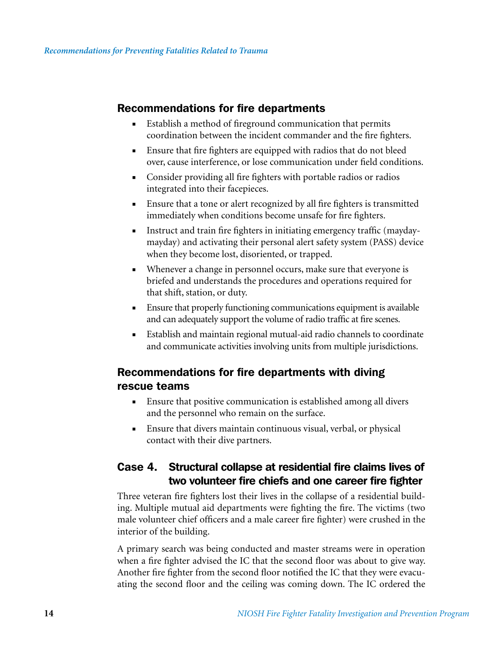### Recommendations for fire departments

- Establish a method of fireground communication that permits coordination between the incident commander and the fire fighters.
- Ensure that fire fighters are equipped with radios that do not bleed over, cause interference, or lose communication under field conditions.
- Consider providing all fire fighters with portable radios or radios integrated into their facepieces.
- Ensure that a tone or alert recognized by all fire fighters is transmitted immediately when conditions become unsafe for fire fighters.
- Instruct and train fire fighters in initiating emergency traffic (maydaymayday) and activating their personal alert safety system (PASS) device when they become lost, disoriented, or trapped.
- Whenever a change in personnel occurs, make sure that everyone is briefed and understands the procedures and operations required for that shift, station, or duty.
- Ensure that properly functioning communications equipment is available and can adequately support the volume of radio traffic at fire scenes.
- Establish and maintain regional mutual-aid radio channels to coordinate and communicate activities involving units from multiple jurisdictions.

### Recommendations for fire departments with diving rescue teams

- Ensure that positive communication is established among all divers and the personnel who remain on the surface.
- Ensure that divers maintain continuous visual, verbal, or physical contact with their dive partners.

### Case 4. Structural collapse at residential fire claims lives of two volunteer fire chiefs and one career fire fighter

Three veteran fire fighters lost their lives in the collapse of a residential building. Multiple mutual aid departments were fighting the fire. The victims (two male volunteer chief officers and a male career fire fighter) were crushed in the interior of the building.

A primary search was being conducted and master streams were in operation when a fire fighter advised the IC that the second floor was about to give way. Another fire fighter from the second floor notified the IC that they were evacuating the second floor and the ceiling was coming down. The IC ordered the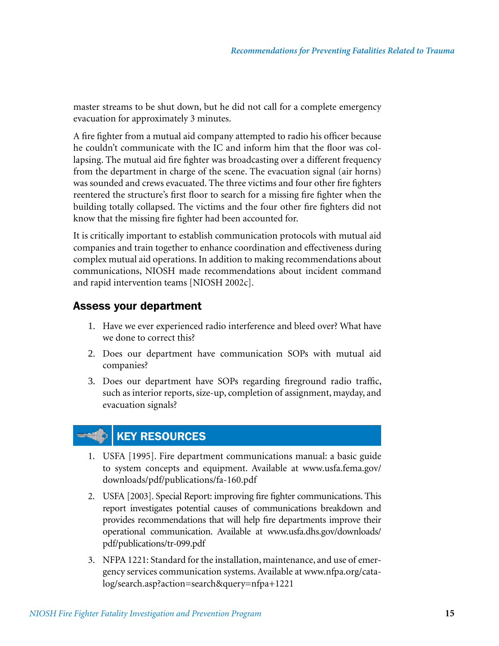master streams to be shut down, but he did not call for a complete emergency evacuation for approximately 3 minutes.

A fire fighter from a mutual aid company attempted to radio his officer because he couldn't communicate with the IC and inform him that the floor was collapsing. The mutual aid fire fighter was broadcasting over a different frequency from the department in charge of the scene. The evacuation signal (air horns) was sounded and crews evacuated. The three victims and four other fire fighters reentered the structure's first floor to search for a missing fire fighter when the building totally collapsed. The victims and the four other fire fighters did not know that the missing fire fighter had been accounted for.

It is critically important to establish communication protocols with mutual aid companies and train together to enhance coordination and effectiveness during complex mutual aid operations. In addition to making recommendations about communications, NIOSH made recommendations about incident command and rapid intervention teams [NIOSH 2002c].

### Assess your department

- 1. Have we ever experienced radio interference and bleed over? What have we done to correct this?
- 2. Does our department have communication SOPs with mutual aid companies?
- 3. Does our department have SOPs regarding fireground radio traffic, such as interior reports, size-up, completion of assignment, mayday, and evacuation signals?

### KEY RESOURCES

- 1. USFA [1995]. Fire department communications manual: a basic guide to system concepts and equipment. Available at www.usfa.fema.gov/ downloads/pdf/publications/fa-160.pdf
- 2. USFA [2003]. Special Report: improving fire fighter communications. This report investigates potential causes of communications breakdown and provides recommendations that will help fire departments improve their operational communication. Available at www.usfa.dhs.gov/downloads/ pdf/publications/tr-099.pdf
- 3. NFPA 1221: Standard for the installation, maintenance, and use of emergency services communication systems. Available at www.nfpa.org/catalog/search.asp?action=search&query=nfpa+1221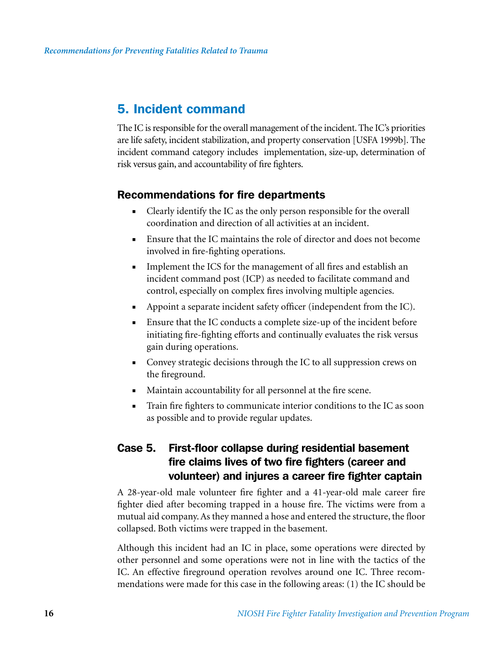### 5. Incident command

The IC is responsible for the overall management of the incident. The IC's priorities are life safety, incident stabilization, and property conservation [USFA 1999b]. The incident command category includes implementation, size-up, determination of risk versus gain, and accountability of fire fighters.

### Recommendations for fire departments

- Clearly identify the IC as the only person responsible for the overall coordination and direction of all activities at an incident.
- Ensure that the IC maintains the role of director and does not become involved in fire-fighting operations.
- Implement the ICS for the management of all fires and establish an incident command post (ICP) as needed to facilitate command and control, especially on complex fires involving multiple agencies.
- Appoint a separate incident safety officer (independent from the IC).
- Ensure that the IC conducts a complete size-up of the incident before initiating fire-fighting efforts and continually evaluates the risk versus gain during operations.
- Convey strategic decisions through the IC to all suppression crews on the fireground.
- Maintain accountability for all personnel at the fire scene.
- Train fire fighters to communicate interior conditions to the IC as soon as possible and to provide regular updates.

### Case 5. First-floor collapse during residential basement fire claims lives of two fire fighters (career and volunteer) and injures a career fire fighter captain

A 28-year-old male volunteer fire fighter and a 41-year-old male career fire fighter died after becoming trapped in a house fire. The victims were from a mutual aid company. As they manned a hose and entered the structure, the floor collapsed. Both victims were trapped in the basement.

Although this incident had an IC in place, some operations were directed by other personnel and some operations were not in line with the tactics of the IC. An effective fireground operation revolves around one IC. Three recommendations were made for this case in the following areas: (1) the IC should be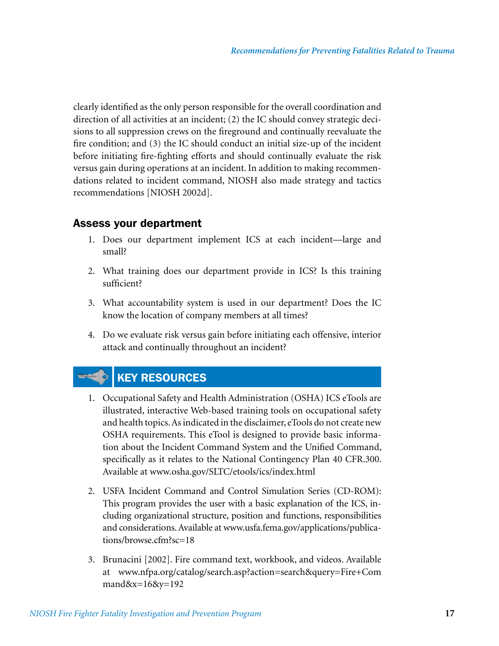clearly identified as the only person responsible for the overall coordination and direction of all activities at an incident; (2) the IC should convey strategic decisions to all suppression crews on the fireground and continually reevaluate the fire condition; and (3) the IC should conduct an initial size-up of the incident before initiating fire-fighting efforts and should continually evaluate the risk versus gain during operations at an incident. In addition to making recommendations related to incident command, NIOSH also made strategy and tactics recommendations [NIOSH 2002d].

### Assess your department

- 1. Does our department implement ICS at each incident—large and small?
- 2. What training does our department provide in ICS? Is this training sufficient?
- 3. What accountability system is used in our department? Does the IC know the location of company members at all times?
- 4. Do we evaluate risk versus gain before initiating each offensive, interior attack and continually throughout an incident?

### **EXECUTE: IN KEY RESOURCES**

- 1. Occupational Safety and Health Administration (OSHA) ICS eTools are illustrated, interactive Web-based training tools on occupational safety and health topics. As indicated in the disclaimer, eTools do not create new OSHA requirements. This eTool is designed to provide basic information about the Incident Command System and the Unified Command, specifically as it relates to the National Contingency Plan 40 CFR.300. Available at www.osha.gov/SLTC/etools/ics/index.html
- 2. USFA Incident Command and Control Simulation Series (CD-ROM): This program provides the user with a basic explanation of the ICS, including organizational structure, position and functions, responsibilities and considerations. Available at www.usfa.fema.gov/applications/publications/browse.cfm?sc=18
- 3. Brunacini [2002]. Fire command text, workbook, and videos. Available at www.nfpa.org/catalog/search.asp?action=search&query=Fire+Com mand&x=16&y=192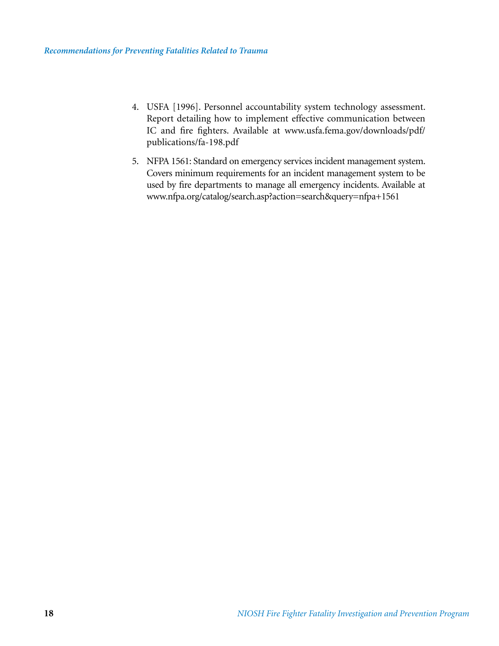- 4. USFA [1996]. Personnel accountability system technology assessment. Report detailing how to implement effective communication between IC and fire fighters. Available at www.usfa.fema.gov/downloads/pdf/ publications/fa-198.pdf
- 5. NFPA 1561: Standard on emergency services incident management system. Covers minimum requirements for an incident management system to be used by fire departments to manage all emergency incidents. Available at www.nfpa.org/catalog/search.asp?action=search&query=nfpa+1561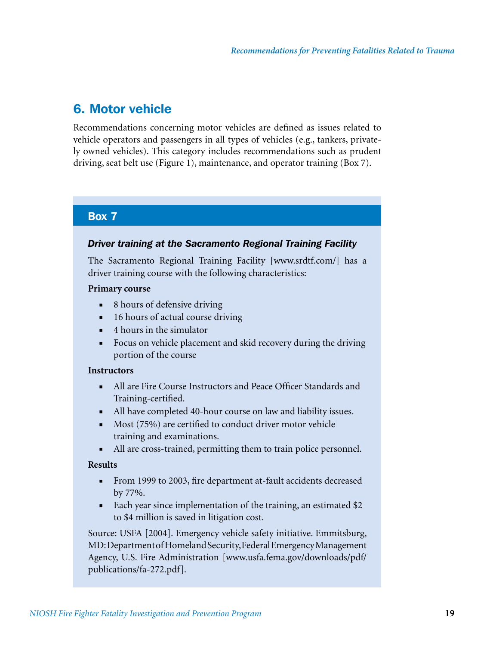### 6. Motor vehicle

Recommendations concerning motor vehicles are defined as issues related to vehicle operators and passengers in all types of vehicles (e.g., tankers, privately owned vehicles). This category includes recommendations such as prudent driving, seat belt use (Figure 1), maintenance, and operator training (Box 7).

### Box 7

#### *Driver training at the Sacramento Regional Training Facility*

The Sacramento Regional Training Facility [www.srdtf.com/] has a driver training course with the following characteristics:

#### **Primary course**

- 8 hours of defensive driving
- 16 hours of actual course driving
- 4 hours in the simulator
- Focus on vehicle placement and skid recovery during the driving portion of the course

#### **Instructors**

- All are Fire Course Instructors and Peace Officer Standards and Training-certified.
- All have completed 40-hour course on law and liability issues.
- Most (75%) are certified to conduct driver motor vehicle training and examinations.
- All are cross-trained, permitting them to train police personnel.

#### **Results**

- From 1999 to 2003, fire department at-fault accidents decreased by 77%.
- Each year since implementation of the training, an estimated \$2 to \$4 million is saved in litigation cost.

Source: USFA [2004]. Emergency vehicle safety initiative. Emmitsburg, MD: Department of Homeland Security, Federal Emergency Management Agency, U.S. Fire Administration [www.usfa.fema.gov/downloads/pdf/ publications/fa-272.pdf].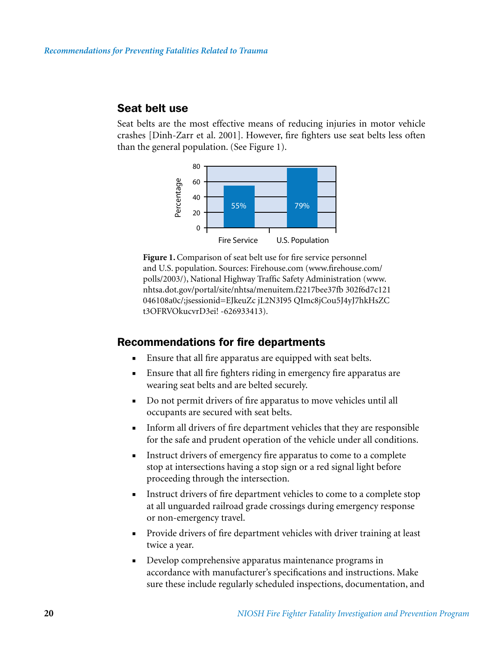#### Seat belt use

Seat belts are the most effective means of reducing injuries in motor vehicle crashes [Dinh-Zarr et al. 2001]. However, fire fighters use seat belts less often than the general population. (See Figure 1).



**Figure 1.** Comparison of seat belt use for fire service personnel and U.S. population. Sources: Firehouse.com (www.firehouse.com/ polls/2003/), National Highway Traffic Safety Administration (www. nhtsa.dot.gov/portal/site/nhtsa/menuitem.f2217bee37fb 302f6d7c121 046108a0c/;jsessionid=EJkeuZc jL2N3I95 QImc8jCou5J4yJ7hkHsZC t3OFRVOkucvrD3ei! -626933413).

#### Recommendations for fire departments

- Ensure that all fire apparatus are equipped with seat belts.
- Ensure that all fire fighters riding in emergency fire apparatus are wearing seat belts and are belted securely.
- Do not permit drivers of fire apparatus to move vehicles until all occupants are secured with seat belts.
- Inform all drivers of fire department vehicles that they are responsible for the safe and prudent operation of the vehicle under all conditions.
- Instruct drivers of emergency fire apparatus to come to a complete stop at intersections having a stop sign or a red signal light before proceeding through the intersection.
- Instruct drivers of fire department vehicles to come to a complete stop at all unguarded railroad grade crossings during emergency response or non-emergency travel.
- Provide drivers of fire department vehicles with driver training at least twice a year.
- Develop comprehensive apparatus maintenance programs in accordance with manufacturer's specifications and instructions. Make sure these include regularly scheduled inspections, documentation, and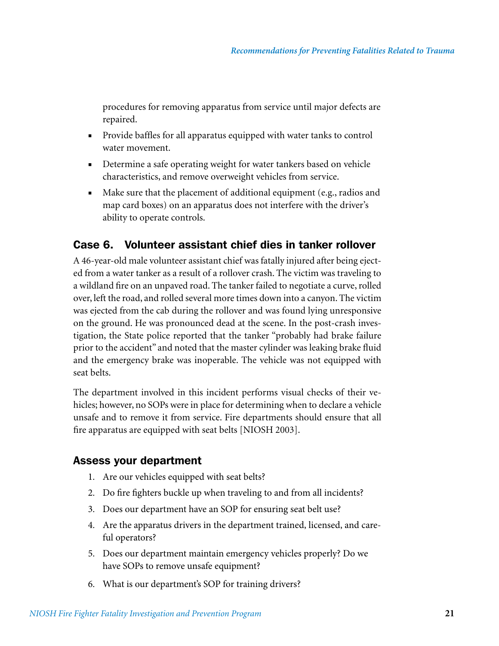procedures for removing apparatus from service until major defects are repaired.

- Provide baffles for all apparatus equipped with water tanks to control water movement.
- Determine a safe operating weight for water tankers based on vehicle characteristics, and remove overweight vehicles from service.
- Make sure that the placement of additional equipment (e.g., radios and map card boxes) on an apparatus does not interfere with the driver's ability to operate controls.

### Case 6. Volunteer assistant chief dies in tanker rollover

A 46-year-old male volunteer assistant chief was fatally injured after being ejected from a water tanker as a result of a rollover crash. The victim was traveling to a wildland fire on an unpaved road. The tanker failed to negotiate a curve, rolled over, left the road, and rolled several more times down into a canyon. The victim was ejected from the cab during the rollover and was found lying unresponsive on the ground. He was pronounced dead at the scene. In the post-crash investigation, the State police reported that the tanker "probably had brake failure prior to the accident" and noted that the master cylinder was leaking brake fluid and the emergency brake was inoperable. The vehicle was not equipped with seat belts.

The department involved in this incident performs visual checks of their vehicles; however, no SOPs were in place for determining when to declare a vehicle unsafe and to remove it from service. Fire departments should ensure that all fire apparatus are equipped with seat belts [NIOSH 2003].

### Assess your department

- 1. Are our vehicles equipped with seat belts?
- 2. Do fire fighters buckle up when traveling to and from all incidents?
- 3. Does our department have an SOP for ensuring seat belt use?
- 4. Are the apparatus drivers in the department trained, licensed, and careful operators?
- 5. Does our department maintain emergency vehicles properly? Do we have SOPs to remove unsafe equipment?
- 6. What is our department's SOP for training drivers?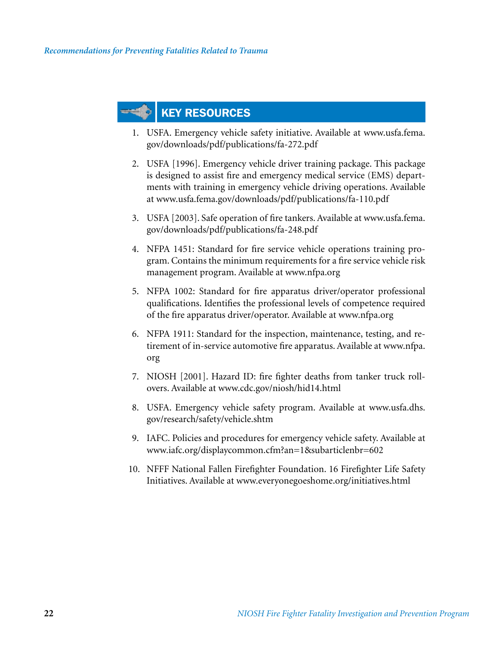### KEY RESOURCES

- 1. USFA. Emergency vehicle safety initiative. Available at www.usfa.fema. gov/downloads/pdf/publications/fa-272.pdf
- 2. USFA [1996]. Emergency vehicle driver training package. This package is designed to assist fire and emergency medical service (EMS) departments with training in emergency vehicle driving operations. Available at www.usfa.fema.gov/downloads/pdf/publications/fa-110.pdf
- 3. USFA [2003]. Safe operation of fire tankers. Available at www.usfa.fema. gov/downloads/pdf/publications/fa-248.pdf
- 4. NFPA 1451: Standard for fire service vehicle operations training program. Contains the minimum requirements for a fire service vehicle risk management program. Available at www.nfpa.org
- 5. NFPA 1002: Standard for fire apparatus driver/operator professional qualifications. Identifies the professional levels of competence required of the fire apparatus driver/operator. Available at www.nfpa.org
- 6. NFPA 1911: Standard for the inspection, maintenance, testing, and retirement of in-service automotive fire apparatus. Available at www.nfpa. org
- 7. NIOSH [2001]. Hazard ID: fire fighter deaths from tanker truck rollovers. Available at www.cdc.gov/niosh/hid14.html
- 8. USFA. Emergency vehicle safety program. Available at www.usfa.dhs. gov/research/safety/vehicle.shtm
- 9. IAFC. Policies and procedures for emergency vehicle safety. Available at www.iafc.org/displaycommon.cfm?an=1&subarticlenbr=602
- 10. NFFF National Fallen Firefighter Foundation. 16 Firefighter Life Safety Initiatives. Available at www.everyonegoeshome.org/initiatives.html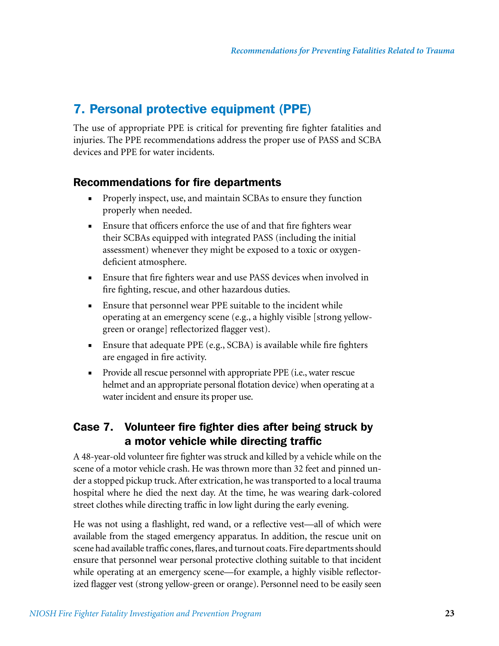### 7. Personal protective equipment (PPE)

The use of appropriate PPE is critical for preventing fire fighter fatalities and injuries. The PPE recommendations address the proper use of PASS and SCBA devices and PPE for water incidents.

### Recommendations for fire departments

- Properly inspect, use, and maintain SCBAs to ensure they function properly when needed.
- Ensure that officers enforce the use of and that fire fighters wear their SCBAs equipped with integrated PASS (including the initial assessment) whenever they might be exposed to a toxic or oxygendeficient atmosphere.
- Ensure that fire fighters wear and use PASS devices when involved in fire fighting, rescue, and other hazardous duties.
- Ensure that personnel wear PPE suitable to the incident while operating at an emergency scene (e.g., a highly visible [strong yellowgreen or orange] reflectorized flagger vest).
- Ensure that adequate PPE (e.g., SCBA) is available while fire fighters are engaged in fire activity.
- Provide all rescue personnel with appropriate PPE (i.e., water rescue helmet and an appropriate personal flotation device) when operating at a water incident and ensure its proper use.

### Case 7. Volunteer fire fighter dies after being struck by a motor vehicle while directing traffic

A 48-year-old volunteer fire fighter was struck and killed by a vehicle while on the scene of a motor vehicle crash. He was thrown more than 32 feet and pinned under a stopped pickup truck. After extrication, he was transported to a local trauma hospital where he died the next day. At the time, he was wearing dark-colored street clothes while directing traffic in low light during the early evening.

He was not using a flashlight, red wand, or a reflective vest—all of which were available from the staged emergency apparatus. In addition, the rescue unit on scene had available traffic cones, flares, and turnout coats. Fire departments should ensure that personnel wear personal protective clothing suitable to that incident while operating at an emergency scene—for example, a highly visible reflectorized flagger vest (strong yellow-green or orange). Personnel need to be easily seen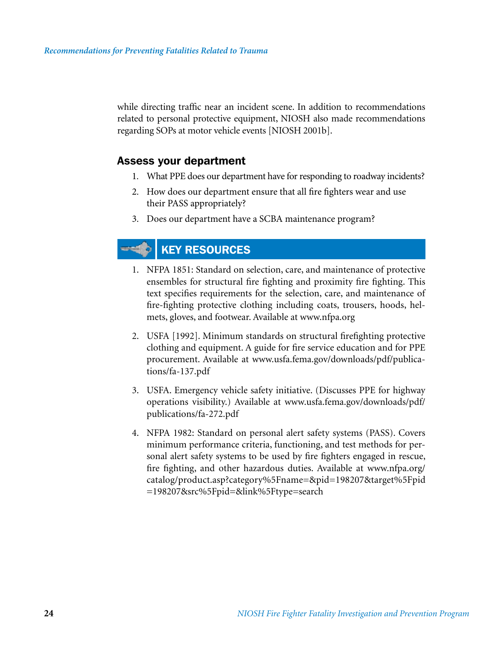while directing traffic near an incident scene. In addition to recommendations related to personal protective equipment, NIOSH also made recommendations regarding SOPs at motor vehicle events [NIOSH 2001b].

### Assess your department

- 1. What PPE does our department have for responding to roadway incidents?
- 2. How does our department ensure that all fire fighters wear and use their PASS appropriately?
- 3. Does our department have a SCBA maintenance program?

### **KEY RESOURCES**

- 1. NFPA 1851: Standard on selection, care, and maintenance of protective ensembles for structural fire fighting and proximity fire fighting. This text specifies requirements for the selection, care, and maintenance of fire-fighting protective clothing including coats, trousers, hoods, helmets, gloves, and footwear. Available at www.nfpa.org
- 2. USFA [1992]. Minimum standards on structural firefighting protective clothing and equipment. A guide for fire service education and for PPE procurement. Available at www.usfa.fema.gov/downloads/pdf/publications/fa-137.pdf
- 3. USFA. Emergency vehicle safety initiative. (Discusses PPE for highway operations visibility.) Available at www.usfa.fema.gov/downloads/pdf/ publications/fa-272.pdf
- 4. NFPA 1982: Standard on personal alert safety systems (PASS). Covers minimum performance criteria, functioning, and test methods for personal alert safety systems to be used by fire fighters engaged in rescue, fire fighting, and other hazardous duties. Available at www.nfpa.org/ catalog/product.asp?category%5Fname=&pid=198207&target%5Fpid =198207&src%5Fpid=&link%5Ftype=search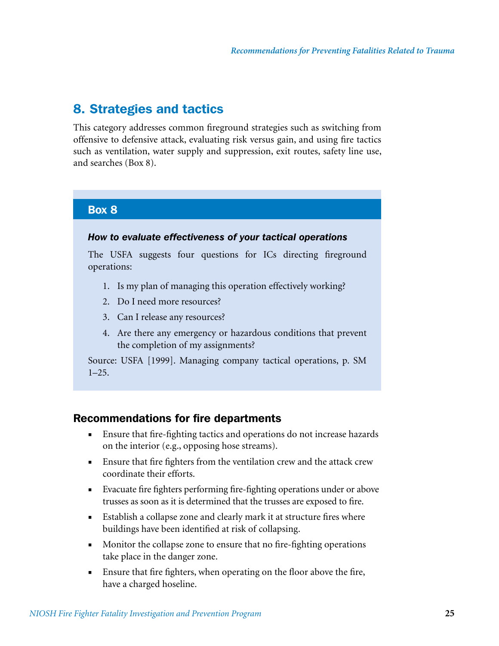### 8. Strategies and tactics

This category addresses common fireground strategies such as switching from offensive to defensive attack, evaluating risk versus gain, and using fire tactics such as ventilation, water supply and suppression, exit routes, safety line use, and searches (Box 8).

### Box 8

#### *How to evaluate effectiveness of your tactical operations*

The USFA suggests four questions for ICs directing fireground operations:

- 1. Is my plan of managing this operation effectively working?
- 2. Do I need more resources?
- 3. Can I release any resources?
- 4. Are there any emergency or hazardous conditions that prevent the completion of my assignments?

Source: USFA [1999]. Managing company tactical operations, p. SM 1–25.

### Recommendations for fire departments

- Ensure that fire-fighting tactics and operations do not increase hazards on the interior (e.g., opposing hose streams).
- Ensure that fire fighters from the ventilation crew and the attack crew coordinate their efforts.
- Evacuate fire fighters performing fire-fighting operations under or above trusses as soon as it is determined that the trusses are exposed to fire.
- Establish a collapse zone and clearly mark it at structure fires where buildings have been identified at risk of collapsing.
- Monitor the collapse zone to ensure that no fire-fighting operations take place in the danger zone.
- Ensure that fire fighters, when operating on the floor above the fire, have a charged hoseline.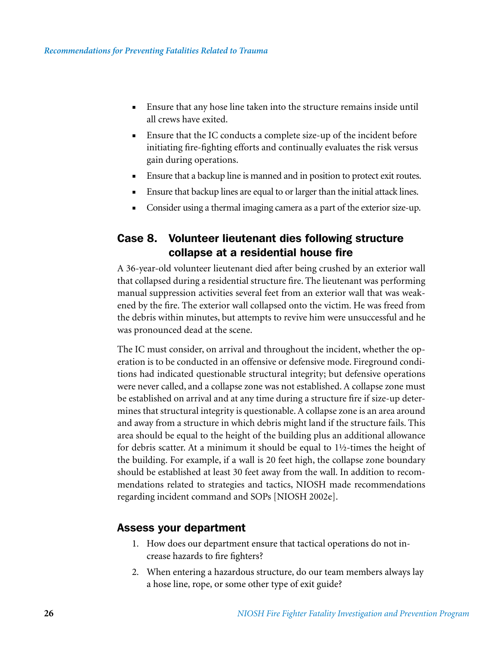- Ensure that any hose line taken into the structure remains inside until all crews have exited.
- Ensure that the IC conducts a complete size-up of the incident before initiating fire-fighting efforts and continually evaluates the risk versus gain during operations.
- Ensure that a backup line is manned and in position to protect exit routes.
- Ensure that backup lines are equal to or larger than the initial attack lines.
- Consider using a thermal imaging camera as a part of the exterior size-up.

### Case 8. Volunteer lieutenant dies following structure collapse at a residential house fire

A 36-year-old volunteer lieutenant died after being crushed by an exterior wall that collapsed during a residential structure fire. The lieutenant was performing manual suppression activities several feet from an exterior wall that was weakened by the fire. The exterior wall collapsed onto the victim. He was freed from the debris within minutes, but attempts to revive him were unsuccessful and he was pronounced dead at the scene.

The IC must consider, on arrival and throughout the incident, whether the operation is to be conducted in an offensive or defensive mode. Fireground conditions had indicated questionable structural integrity; but defensive operations were never called, and a collapse zone was not established. A collapse zone must be established on arrival and at any time during a structure fire if size-up determines that structural integrity is questionable. A collapse zone is an area around and away from a structure in which debris might land if the structure fails. This area should be equal to the height of the building plus an additional allowance for debris scatter. At a minimum it should be equal to 1½-times the height of the building. For example, if a wall is 20 feet high, the collapse zone boundary should be established at least 30 feet away from the wall. In addition to recommendations related to strategies and tactics, NIOSH made recommendations regarding incident command and SOPs [NIOSH 2002e].

### Assess your department

- 1. How does our department ensure that tactical operations do not increase hazards to fire fighters?
- 2. When entering a hazardous structure, do our team members always lay a hose line, rope, or some other type of exit guide?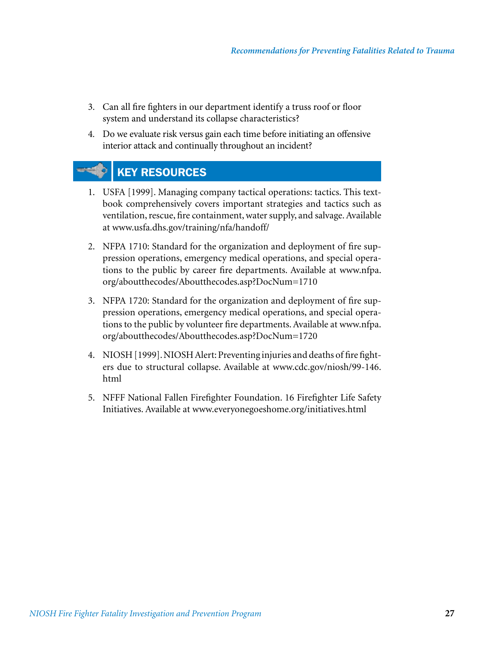- 3. Can all fire fighters in our department identify a truss roof or floor system and understand its collapse characteristics?
- 4. Do we evaluate risk versus gain each time before initiating an offensive interior attack and continually throughout an incident?

### KEY RESOURCES

- 1. USFA [1999]. Managing company tactical operations: tactics. This textbook comprehensively covers important strategies and tactics such as ventilation, rescue, fire containment, water supply, and salvage. Available at www.usfa.dhs.gov/training/nfa/handoff/
- 2. NFPA 1710: Standard for the organization and deployment of fire suppression operations, emergency medical operations, and special operations to the public by career fire departments. Available at www.nfpa. org/aboutthecodes/Aboutthecodes.asp?DocNum=1710
- 3. NFPA 1720: Standard for the organization and deployment of fire suppression operations, emergency medical operations, and special operations to the public by volunteer fire departments. Available at www.nfpa. org/aboutthecodes/Aboutthecodes.asp?DocNum=1720
- 4. NIOSH [1999]. NIOSH Alert: Preventing injuries and deaths of fire fighters due to structural collapse. Available at www.cdc.gov/niosh/99-146. html
- 5. NFFF National Fallen Firefighter Foundation. 16 Firefighter Life Safety Initiatives. Available at www.everyonegoeshome.org/initiatives.html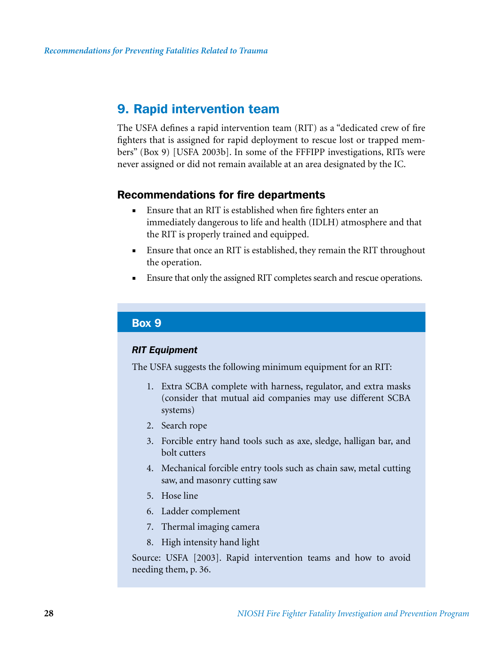### 9. Rapid intervention team

The USFA defines a rapid intervention team (RIT) as a "dedicated crew of fire fighters that is assigned for rapid deployment to rescue lost or trapped members" (Box 9) [USFA 2003b]. In some of the FFFIPP investigations, RITs were never assigned or did not remain available at an area designated by the IC.

### Recommendations for fire departments

- Ensure that an RIT is established when fire fighters enter an immediately dangerous to life and health (IDLH) atmosphere and that the RIT is properly trained and equipped.
- Ensure that once an RIT is established, they remain the RIT throughout the operation.
- Ensure that only the assigned RIT completes search and rescue operations.

### Box 9

#### *RIT Equipment*

The USFA suggests the following minimum equipment for an RIT:

- 1. Extra SCBA complete with harness, regulator, and extra masks (consider that mutual aid companies may use different SCBA systems)
- 2. Search rope
- 3. Forcible entry hand tools such as axe, sledge, halligan bar, and bolt cutters
- 4. Mechanical forcible entry tools such as chain saw, metal cutting saw, and masonry cutting saw
- 5. Hose line
- 6. Ladder complement
- 7. Thermal imaging camera
- 8. High intensity hand light

Source: USFA [2003]. Rapid intervention teams and how to avoid needing them, p. 36.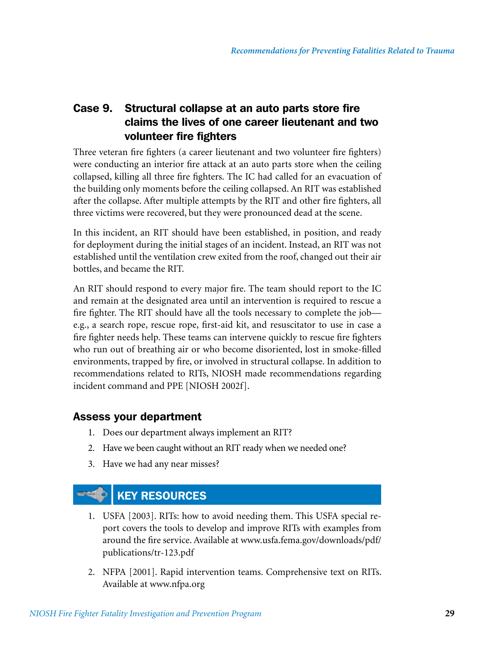### Case 9. Structural collapse at an auto parts store fire claims the lives of one career lieutenant and two volunteer fire fighters

Three veteran fire fighters (a career lieutenant and two volunteer fire fighters) were conducting an interior fire attack at an auto parts store when the ceiling collapsed, killing all three fire fighters. The IC had called for an evacuation of the building only moments before the ceiling collapsed. An RIT was established after the collapse. After multiple attempts by the RIT and other fire fighters, all three victims were recovered, but they were pronounced dead at the scene.

In this incident, an RIT should have been established, in position, and ready for deployment during the initial stages of an incident. Instead, an RIT was not established until the ventilation crew exited from the roof, changed out their air bottles, and became the RIT.

An RIT should respond to every major fire. The team should report to the IC and remain at the designated area until an intervention is required to rescue a fire fighter. The RIT should have all the tools necessary to complete the job e.g., a search rope, rescue rope, first-aid kit, and resuscitator to use in case a fire fighter needs help. These teams can intervene quickly to rescue fire fighters who run out of breathing air or who become disoriented, lost in smoke-filled environments, trapped by fire, or involved in structural collapse. In addition to recommendations related to RITs, NIOSH made recommendations regarding incident command and PPE [NIOSH 2002f].

### Assess your department

- 1. Does our department always implement an RIT?
- 2. Have we been caught without an RIT ready when we needed one?
- 3. Have we had any near misses?



- 1. USFA [2003]. RITs: how to avoid needing them. This USFA special report covers the tools to develop and improve RITs with examples from around the fire service. Available at www.usfa.fema.gov/downloads/pdf/ publications/tr-123.pdf
- 2. NFPA [2001]. Rapid intervention teams. Comprehensive text on RITs. Available at www.nfpa.org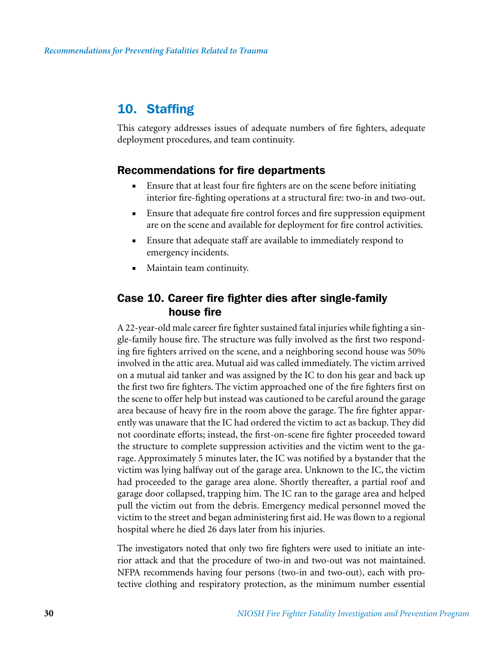### 10. Staffing

This category addresses issues of adequate numbers of fire fighters, adequate deployment procedures, and team continuity.

### Recommendations for fire departments

- Ensure that at least four fire fighters are on the scene before initiating interior fire-fighting operations at a structural fire: two-in and two-out.
- Ensure that adequate fire control forces and fire suppression equipment are on the scene and available for deployment for fire control activities.
- Ensure that adequate staff are available to immediately respond to emergency incidents.
- Maintain team continuity.

### Case 10. Career fire fighter dies after single-family house fire

A 22-year-old male career fire fighter sustained fatal injuries while fighting a single-family house fire. The structure was fully involved as the first two responding fire fighters arrived on the scene, and a neighboring second house was 50% involved in the attic area. Mutual aid was called immediately. The victim arrived on a mutual aid tanker and was assigned by the IC to don his gear and back up the first two fire fighters. The victim approached one of the fire fighters first on the scene to offer help but instead was cautioned to be careful around the garage area because of heavy fire in the room above the garage. The fire fighter apparently was unaware that the IC had ordered the victim to act as backup. They did not coordinate efforts; instead, the first-on-scene fire fighter proceeded toward the structure to complete suppression activities and the victim went to the garage. Approximately 5 minutes later, the IC was notified by a bystander that the victim was lying halfway out of the garage area. Unknown to the IC, the victim had proceeded to the garage area alone. Shortly thereafter, a partial roof and garage door collapsed, trapping him. The IC ran to the garage area and helped pull the victim out from the debris. Emergency medical personnel moved the victim to the street and began administering first aid. He was flown to a regional hospital where he died 26 days later from his injuries.

The investigators noted that only two fire fighters were used to initiate an interior attack and that the procedure of two-in and two-out was not maintained. NFPA recommends having four persons (two-in and two-out), each with protective clothing and respiratory protection, as the minimum number essential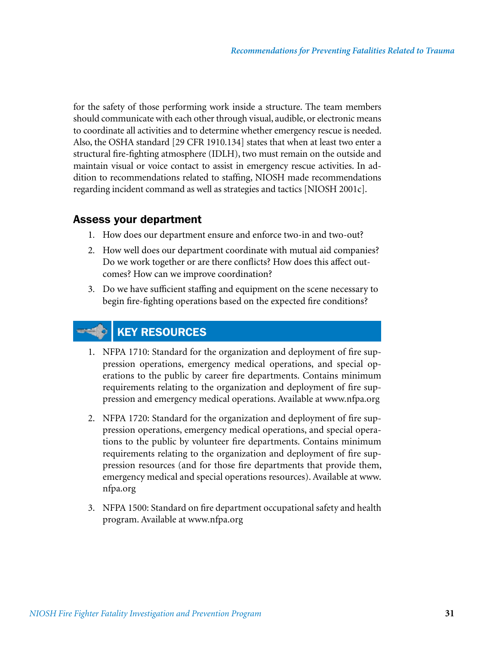for the safety of those performing work inside a structure. The team members should communicate with each other through visual, audible, or electronic means to coordinate all activities and to determine whether emergency rescue is needed. Also, the OSHA standard [29 CFR 1910.134] states that when at least two enter a structural fire-fighting atmosphere (IDLH), two must remain on the outside and maintain visual or voice contact to assist in emergency rescue activities. In addition to recommendations related to staffing, NIOSH made recommendations regarding incident command as well as strategies and tactics [NIOSH 2001c].

### Assess your department

- 1. How does our department ensure and enforce two-in and two-out?
- 2. How well does our department coordinate with mutual aid companies? Do we work together or are there conflicts? How does this affect outcomes? How can we improve coordination?
- 3. Do we have sufficient staffing and equipment on the scene necessary to begin fire-fighting operations based on the expected fire conditions?

### KEY RESOURCES

- 1. NFPA 1710: Standard for the organization and deployment of fire suppression operations, emergency medical operations, and special operations to the public by career fire departments. Contains minimum requirements relating to the organization and deployment of fire suppression and emergency medical operations. Available at www.nfpa.org
- 2. NFPA 1720: Standard for the organization and deployment of fire suppression operations, emergency medical operations, and special operations to the public by volunteer fire departments. Contains minimum requirements relating to the organization and deployment of fire suppression resources (and for those fire departments that provide them, emergency medical and special operations resources). Available at www. nfpa.org
- 3. NFPA 1500: Standard on fire department occupational safety and health program. Available at www.nfpa.org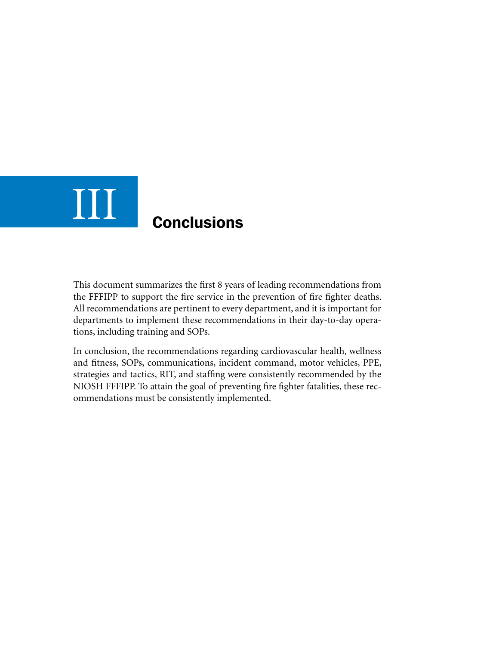## **Conclusions** III

This document summarizes the first 8 years of leading recommendations from the FFFIPP to support the fire service in the prevention of fire fighter deaths. All recommendations are pertinent to every department, and it is important for departments to implement these recommendations in their day-to-day operations, including training and SOPs.

In conclusion, the recommendations regarding cardiovascular health, wellness and fitness, SOPs, communications, incident command, motor vehicles, PPE, strategies and tactics, RIT, and staffing were consistently recommended by the NIOSH FFFIPP. To attain the goal of preventing fire fighter fatalities, these recommendations must be consistently implemented.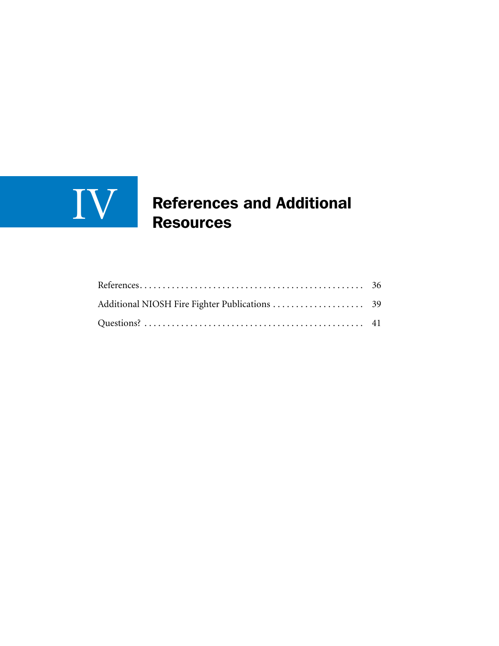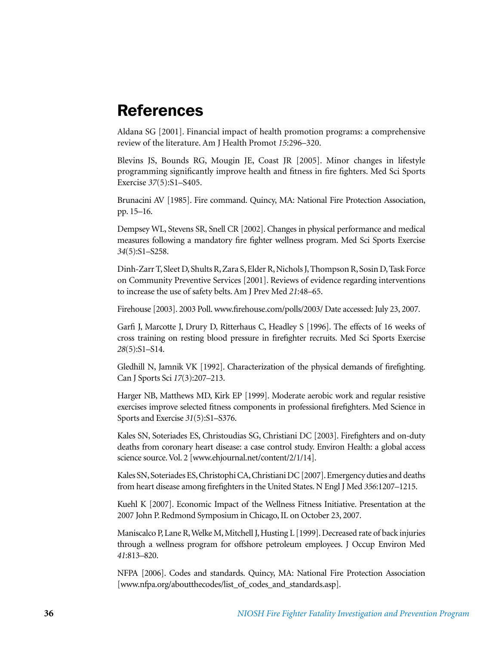### **References**

Aldana SG [2001]. Financial impact of health promotion programs: a comprehensive review of the literature. Am J Health Promot *15*:296–320.

Blevins JS, Bounds RG, Mougin JE, Coast JR [2005]. Minor changes in lifestyle programming significantly improve health and fitness in fire fighters. Med Sci Sports Exercise *37*(5):S1–S405.

Brunacini AV [1985]. Fire command. Quincy, MA: National Fire Protection Association, pp. 15–16.

Dempsey WL, Stevens SR, Snell CR [2002]. Changes in physical performance and medical measures following a mandatory fire fighter wellness program. Med Sci Sports Exercise *34*(5):S1–S258.

Dinh-Zarr T, Sleet D, Shults R, Zara S, Elder R, Nichols J, Thompson R, Sosin D, Task Force on Community Preventive Services [2001]. Reviews of evidence regarding interventions to increase the use of safety belts. Am J Prev Med *21*:48–65.

Firehouse [2003]. 2003 Poll. www.firehouse.com/polls/2003/ Date accessed: July 23, 2007.

Garfi J, Marcotte J, Drury D, Ritterhaus C, Headley S [1996]. The effects of 16 weeks of cross training on resting blood pressure in firefighter recruits. Med Sci Sports Exercise *28*(5):S1–S14.

Gledhill N, Jamnik VK [1992]. Characterization of the physical demands of firefighting. Can J Sports Sci *17*(3):207–213.

Harger NB, Matthews MD, Kirk EP [1999]. Moderate aerobic work and regular resistive exercises improve selected fitness components in professional firefighters. Med Science in Sports and Exercise *31*(5):S1–S376.

Kales SN, Soteriades ES, Christoudias SG, Christiani DC [2003]. Firefighters and on-duty deaths from coronary heart disease: a case control study. Environ Health: a global access science source. Vol. 2 [www.ehjournal.net/content/2/1/14].

Kales SN, Soteriades ES, Christophi CA, Christiani DC [2007]. Emergency duties and deaths from heart disease among firefighters in the United States. N Engl J Med *356*:1207–1215.

Kuehl K [2007]. Economic Impact of the Wellness Fitness Initiative. Presentation at the 2007 John P. Redmond Symposium in Chicago, IL on October 23, 2007.

Maniscalco P, Lane R, Welke M, Mitchell J, Husting L [1999]. Decreased rate of back injuries through a wellness program for offshore petroleum employees. J Occup Environ Med *41*:813–820.

NFPA [2006]. Codes and standards. Quincy, MA: National Fire Protection Association [www.nfpa.org/aboutthecodes/list\_of\_codes\_and\_standards.asp].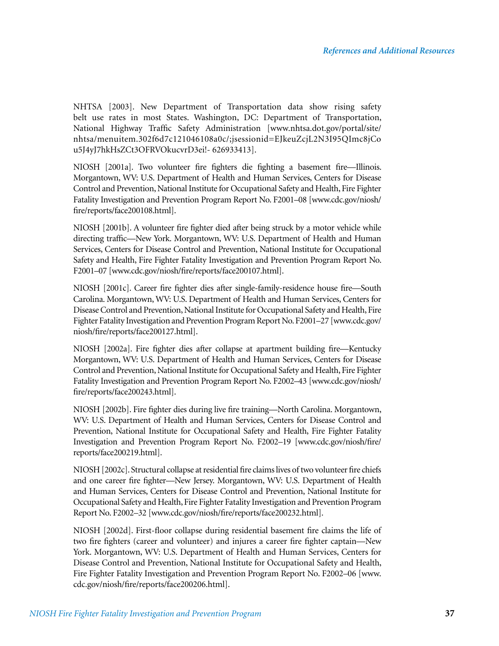NHTSA [2003]. New Department of Transportation data show rising safety belt use rates in most States. Washington, DC: Department of Transportation, National Highway Traffic Safety Administration [www.nhtsa.dot.gov/portal/site/ nhtsa/menuitem.302f6d7c121046108a0c/;jsessionid=EJkeuZcjL2N3I95QImc8jCo u5J4yJ7hkHsZCt3OFRVOkucvrD3ei!- 626933413].

NIOSH [2001a]. Two volunteer fire fighters die fighting a basement fire—Illinois. Morgantown, WV: U.S. Department of Health and Human Services, Centers for Disease Control and Prevention, National Institute for Occupational Safety and Health, Fire Fighter Fatality Investigation and Prevention Program Report No. F2001–08 [www.cdc.gov/niosh/ fire/reports/face200108.html].

NIOSH [2001b]. A volunteer fire fighter died after being struck by a motor vehicle while directing traffic—New York. Morgantown, WV: U.S. Department of Health and Human Services, Centers for Disease Control and Prevention, National Institute for Occupational Safety and Health, Fire Fighter Fatality Investigation and Prevention Program Report No. F2001–07 [www.cdc.gov/niosh/fire/reports/face200107.html].

NIOSH [2001c]. Career fire fighter dies after single-family-residence house fire—South Carolina. Morgantown, WV: U.S. Department of Health and Human Services, Centers for Disease Control and Prevention, National Institute for Occupational Safety and Health, Fire Fighter Fatality Investigation and Prevention Program Report No. F2001–27 [www.cdc.gov/ niosh/fire/reports/face200127.html].

NIOSH [2002a]. Fire fighter dies after collapse at apartment building fire—Kentucky Morgantown, WV: U.S. Department of Health and Human Services, Centers for Disease Control and Prevention, National Institute for Occupational Safety and Health, Fire Fighter Fatality Investigation and Prevention Program Report No. F2002–43 [www.cdc.gov/niosh/ fire/reports/face200243.html].

NIOSH [2002b]. Fire fighter dies during live fire training—North Carolina. Morgantown, WV: U.S. Department of Health and Human Services, Centers for Disease Control and Prevention, National Institute for Occupational Safety and Health, Fire Fighter Fatality Investigation and Prevention Program Report No. F2002–19 [www.cdc.gov/niosh/fire/ reports/face200219.html].

NIOSH [2002c]. Structural collapse at residential fire claims lives of two volunteer fire chiefs and one career fire fighter—New Jersey. Morgantown, WV: U.S. Department of Health and Human Services, Centers for Disease Control and Prevention, National Institute for Occupational Safety and Health, Fire Fighter Fatality Investigation and Prevention Program Report No. F2002–32 [www.cdc.gov/niosh/fire/reports/face200232.html].

NIOSH [2002d]. First-floor collapse during residential basement fire claims the life of two fire fighters (career and volunteer) and injures a career fire fighter captain—New York. Morgantown, WV: U.S. Department of Health and Human Services, Centers for Disease Control and Prevention, National Institute for Occupational Safety and Health, Fire Fighter Fatality Investigation and Prevention Program Report No. F2002–06 [www. cdc.gov/niosh/fire/reports/face200206.html].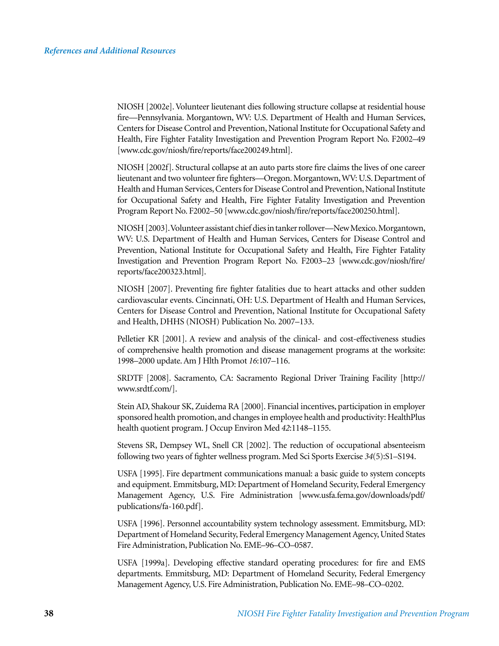NIOSH [2002e]. Volunteer lieutenant dies following structure collapse at residential house fire—Pennsylvania. Morgantown, WV: U.S. Department of Health and Human Services, Centers for Disease Control and Prevention, National Institute for Occupational Safety and Health, Fire Fighter Fatality Investigation and Prevention Program Report No. F2002–49 [www.cdc.gov/niosh/fire/reports/face200249.html].

NIOSH [2002f]. Structural collapse at an auto parts store fire claims the lives of one career lieutenant and two volunteer fire fighters—Oregon. Morgantown, WV: U.S. Department of Health and Human Services, Centers for Disease Control and Prevention, National Institute for Occupational Safety and Health, Fire Fighter Fatality Investigation and Prevention Program Report No. F2002–50 [www.cdc.gov/niosh/fire/reports/face200250.html].

NIOSH [2003]. Volunteer assistant chief dies in tanker rollover—New Mexico. Morgantown, WV: U.S. Department of Health and Human Services, Centers for Disease Control and Prevention, National Institute for Occupational Safety and Health, Fire Fighter Fatality Investigation and Prevention Program Report No. F2003–23 [www.cdc.gov/niosh/fire/ reports/face200323.html].

NIOSH [2007]. Preventing fire fighter fatalities due to heart attacks and other sudden cardiovascular events. Cincinnati, OH: U.S. Department of Health and Human Services, Centers for Disease Control and Prevention, National Institute for Occupational Safety and Health, DHHS (NIOSH) Publication No. 2007–133.

Pelletier KR [2001]. A review and analysis of the clinical- and cost-effectiveness studies of comprehensive health promotion and disease management programs at the worksite: 1998–2000 update. Am J Hlth Promot *16*:107–116.

SRDTF [2008]. Sacramento, CA: Sacramento Regional Driver Training Facility [http:// www.srdtf.com/].

Stein AD, Shakour SK, Zuidema RA [2000]. Financial incentives, participation in employer sponsored health promotion, and changes in employee health and productivity: HealthPlus health quotient program. J Occup Environ Med *42*:1148–1155.

Stevens SR, Dempsey WL, Snell CR [2002]. The reduction of occupational absenteeism following two years of fighter wellness program. Med Sci Sports Exercise *34*(5):S1–S194.

USFA [1995]. Fire department communications manual: a basic guide to system concepts and equipment. Emmitsburg, MD: Department of Homeland Security, Federal Emergency Management Agency, U.S. Fire Administration [www.usfa.fema.gov/downloads/pdf/ publications/fa-160.pdf].

USFA [1996]. Personnel accountability system technology assessment. Emmitsburg, MD: Department of Homeland Security, Federal Emergency Management Agency, United States Fire Administration, Publication No. EME–96–CO–0587.

USFA [1999a]. Developing effective standard operating procedures: for fire and EMS departments. Emmitsburg, MD: Department of Homeland Security, Federal Emergency Management Agency, U.S. Fire Administration, Publication No. EME–98–CO–0202.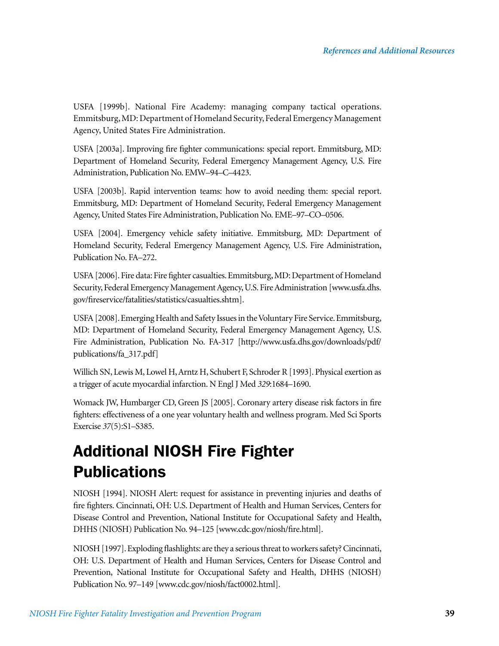USFA [1999b]. National Fire Academy: managing company tactical operations. Emmitsburg, MD: Department of Homeland Security, Federal Emergency Management Agency, United States Fire Administration.

USFA [2003a]. Improving fire fighter communications: special report. Emmitsburg, MD: Department of Homeland Security, Federal Emergency Management Agency, U.S. Fire Administration, Publication No. EMW–94–C–4423.

USFA [2003b]. Rapid intervention teams: how to avoid needing them: special report. Emmitsburg, MD: Department of Homeland Security, Federal Emergency Management Agency, United States Fire Administration, Publication No. EME–97–CO–0506.

USFA [2004]. Emergency vehicle safety initiative. Emmitsburg, MD: Department of Homeland Security, Federal Emergency Management Agency, U.S. Fire Administration, Publication No. FA–272.

USFA [2006]. Fire data: Fire fighter casualties. Emmitsburg, MD: Department of Homeland Security, Federal Emergency Management Agency, U.S. Fire Administration [www.usfa.dhs. gov/fireservice/fatalities/statistics/casualties.shtm].

USFA [2008]. Emerging Health and Safety Issues in the Voluntary Fire Service. Emmitsburg, MD: Department of Homeland Security, Federal Emergency Management Agency, U.S. Fire Administration, Publication No. FA-317 [http://www.usfa.dhs.gov/downloads/pdf/ publications/fa\_317.pdf]

Willich SN, Lewis M, Lowel H, Arntz H, Schubert F, Schroder R [1993]. Physical exertion as a trigger of acute myocardial infarction. N Engl J Med *329*:1684–1690.

Womack JW, Humbarger CD, Green JS [2005]. Coronary artery disease risk factors in fire fighters: effectiveness of a one year voluntary health and wellness program. Med Sci Sports Exercise *37*(5):S1–S385.

## Additional NIOSH Fire Fighter **Publications**

NIOSH [1994]. NIOSH Alert: request for assistance in preventing injuries and deaths of fire fighters. Cincinnati, OH: U.S. Department of Health and Human Services, Centers for Disease Control and Prevention, National Institute for Occupational Safety and Health, DHHS (NIOSH) Publication No. 94–125 [www.cdc.gov/niosh/fire.html].

NIOSH [1997]. Exploding flashlights: are they a serious threat to workers safety? Cincinnati, OH: U.S. Department of Health and Human Services, Centers for Disease Control and Prevention, National Institute for Occupational Safety and Health, DHHS (NIOSH) Publication No. 97–149 [www.cdc.gov/niosh/fact0002.html].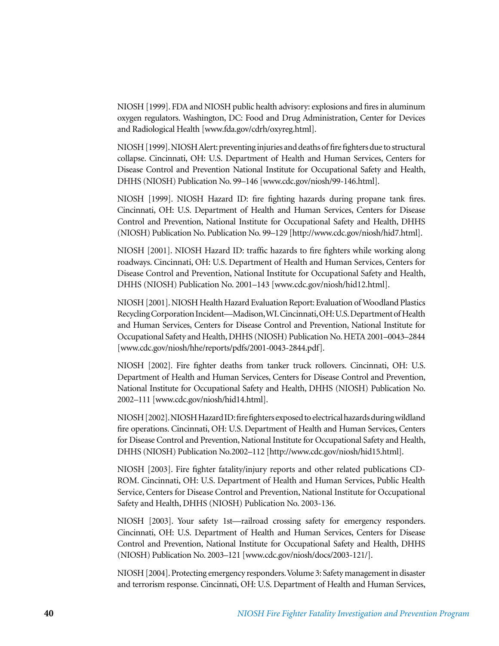NIOSH [1999]. FDA and NIOSH public health advisory: explosions and fires in aluminum oxygen regulators. Washington, DC: Food and Drug Administration, Center for Devices and Radiological Health [www.fda.gov/cdrh/oxyreg.html].

NIOSH [1999]. NIOSH Alert: preventing injuries and deaths of fire fighters due to structural collapse. Cincinnati, OH: U.S. Department of Health and Human Services, Centers for Disease Control and Prevention National Institute for Occupational Safety and Health, DHHS (NIOSH) Publication No. 99–146 [www.cdc.gov/niosh/99-146.html].

NIOSH [1999]. NIOSH Hazard ID: fire fighting hazards during propane tank fires. Cincinnati, OH: U.S. Department of Health and Human Services, Centers for Disease Control and Prevention, National Institute for Occupational Safety and Health, DHHS (NIOSH) Publication No. Publication No. 99–129 [http://www.cdc.gov/niosh/hid7.html].

NIOSH [2001]. NIOSH Hazard ID: traffic hazards to fire fighters while working along roadways. Cincinnati, OH: U.S. Department of Health and Human Services, Centers for Disease Control and Prevention, National Institute for Occupational Safety and Health, DHHS (NIOSH) Publication No. 2001–143 [www.cdc.gov/niosh/hid12.html].

NIOSH [2001]. NIOSH Health Hazard Evaluation Report: Evaluation of Woodland Plastics Recycling Corporation Incident—Madison, WI. Cincinnati, OH: U.S. Department of Health and Human Services, Centers for Disease Control and Prevention, National Institute for Occupational Safety and Health, DHHS (NIOSH) Publication No. HETA 2001–0043–2844 [www.cdc.gov/niosh/hhe/reports/pdfs/2001-0043-2844.pdf].

NIOSH [2002]. Fire fighter deaths from tanker truck rollovers. Cincinnati, OH: U.S. Department of Health and Human Services, Centers for Disease Control and Prevention, National Institute for Occupational Safety and Health, DHHS (NIOSH) Publication No. 2002–111 [www.cdc.gov/niosh/hid14.html].

NIOSH [2002]. NIOSH Hazard ID: fire fighters exposed to electrical hazards during wildland fire operations. Cincinnati, OH: U.S. Department of Health and Human Services, Centers for Disease Control and Prevention, National Institute for Occupational Safety and Health, DHHS (NIOSH) Publication No.2002–112 [http://www.cdc.gov/niosh/hid15.html].

NIOSH [2003]. Fire fighter fatality/injury reports and other related publications CD-ROM. Cincinnati, OH: U.S. Department of Health and Human Services, Public Health Service, Centers for Disease Control and Prevention, National Institute for Occupational Safety and Health, DHHS (NIOSH) Publication No. 2003-136.

NIOSH [2003]. Your safety 1st—railroad crossing safety for emergency responders. Cincinnati, OH: U.S. Department of Health and Human Services, Centers for Disease Control and Prevention, National Institute for Occupational Safety and Health, DHHS (NIOSH) Publication No. 2003–121 [www.cdc.gov/niosh/docs/2003-121/].

NIOSH [2004]. Protecting emergency responders. Volume 3: Safety management in disaster and terrorism response. Cincinnati, OH: U.S. Department of Health and Human Services,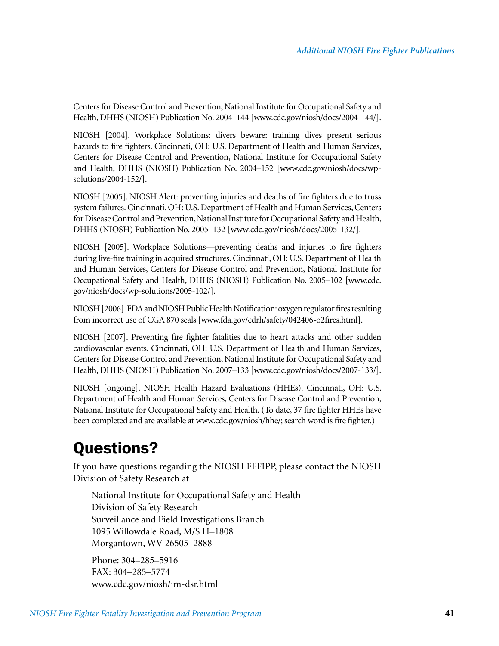Centers for Disease Control and Prevention, National Institute for Occupational Safety and Health, DHHS (NIOSH) Publication No. 2004–144 [www.cdc.gov/niosh/docs/2004-144/].

NIOSH [2004]. Workplace Solutions: divers beware: training dives present serious hazards to fire fighters. Cincinnati, OH: U.S. Department of Health and Human Services, Centers for Disease Control and Prevention, National Institute for Occupational Safety and Health, DHHS (NIOSH) Publication No. 2004–152 [www.cdc.gov/niosh/docs/wpsolutions/2004-152/].

NIOSH [2005]. NIOSH Alert: preventing injuries and deaths of fire fighters due to truss system failures. Cincinnati, OH: U.S. Department of Health and Human Services, Centers for Disease Control and Prevention, National Institute for Occupational Safety and Health, DHHS (NIOSH) Publication No. 2005–132 [www.cdc.gov/niosh/docs/2005-132/].

NIOSH [2005]. Workplace Solutions—preventing deaths and injuries to fire fighters during live-fire training in acquired structures. Cincinnati, OH: U.S. Department of Health and Human Services, Centers for Disease Control and Prevention, National Institute for Occupational Safety and Health, DHHS (NIOSH) Publication No. 2005–102 [www.cdc. gov/niosh/docs/wp-solutions/2005-102/].

NIOSH [2006]. FDA and NIOSH Public Health Notification: oxygen regulator fires resulting from incorrect use of CGA 870 seals [www.fda.gov/cdrh/safety/042406-o2fires.html].

NIOSH [2007]. Preventing fire fighter fatalities due to heart attacks and other sudden cardiovascular events. Cincinnati, OH: U.S. Department of Health and Human Services, Centers for Disease Control and Prevention, National Institute for Occupational Safety and Health, DHHS (NIOSH) Publication No. 2007–133 [www.cdc.gov/niosh/docs/2007-133/].

NIOSH [ongoing]. NIOSH Health Hazard Evaluations (HHEs). Cincinnati, OH: U.S. Department of Health and Human Services, Centers for Disease Control and Prevention, National Institute for Occupational Safety and Health. (To date, 37 fire fighter HHEs have been completed and are available at www.cdc.gov/niosh/hhe/; search word is fire fighter.)

### Questions?

If you have questions regarding the NIOSH FFFIPP, please contact the NIOSH Division of Safety Research at

National Institute for Occupational Safety and Health Division of Safety Research Surveillance and Field Investigations Branch 1095 Willowdale Road, M/S H–1808 Morgantown, WV 26505–2888

Phone: 304–285–5916 FAX: 304–285–5774 www.cdc.gov/niosh/im-dsr.html